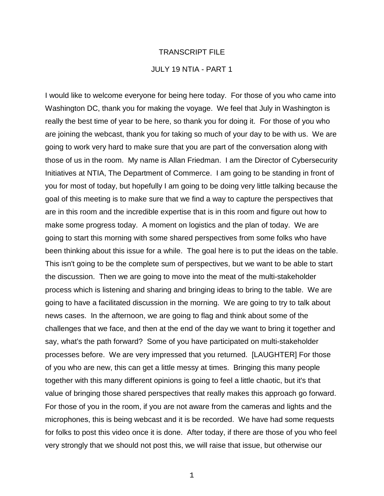### TRANSCRIPT FILE

# JULY 19 NTIA - PART 1

I would like to welcome everyone for being here today. For those of you who came into Washington DC, thank you for making the voyage. We feel that July in Washington is really the best time of year to be here, so thank you for doing it. For those of you who are joining the webcast, thank you for taking so much of your day to be with us. We are going to work very hard to make sure that you are part of the conversation along with those of us in the room. My name is Allan Friedman. I am the Director of Cybersecurity Initiatives at NTIA, The Department of Commerce. I am going to be standing in front of you for most of today, but hopefully I am going to be doing very little talking because the goal of this meeting is to make sure that we find a way to capture the perspectives that are in this room and the incredible expertise that is in this room and figure out how to make some progress today. A moment on logistics and the plan of today. We are going to start this morning with some shared perspectives from some folks who have been thinking about this issue for a while. The goal here is to put the ideas on the table. This isn't going to be the complete sum of perspectives, but we want to be able to start the discussion. Then we are going to move into the meat of the multi-stakeholder process which is listening and sharing and bringing ideas to bring to the table. We are going to have a facilitated discussion in the morning. We are going to try to talk about news cases. In the afternoon, we are going to flag and think about some of the challenges that we face, and then at the end of the day we want to bring it together and say, what's the path forward? Some of you have participated on multi-stakeholder processes before. We are very impressed that you returned. [LAUGHTER] For those of you who are new, this can get a little messy at times. Bringing this many people together with this many different opinions is going to feel a little chaotic, but it's that value of bringing those shared perspectives that really makes this approach go forward. For those of you in the room, if you are not aware from the cameras and lights and the microphones, this is being webcast and it is be recorded. We have had some requests for folks to post this video once it is done. After today, if there are those of you who feel very strongly that we should not post this, we will raise that issue, but otherwise our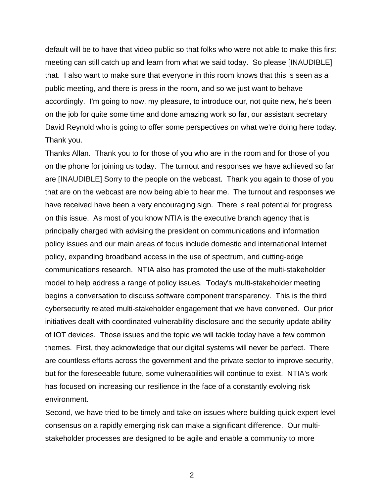default will be to have that video public so that folks who were not able to make this first meeting can still catch up and learn from what we said today. So please [INAUDIBLE] that. I also want to make sure that everyone in this room knows that this is seen as a public meeting, and there is press in the room, and so we just want to behave accordingly. I'm going to now, my pleasure, to introduce our, not quite new, he's been on the job for quite some time and done amazing work so far, our assistant secretary David Reynold who is going to offer some perspectives on what we're doing here today. Thank you.

Thanks Allan. Thank you to for those of you who are in the room and for those of you on the phone for joining us today. The turnout and responses we have achieved so far are [INAUDIBLE] Sorry to the people on the webcast. Thank you again to those of you that are on the webcast are now being able to hear me. The turnout and responses we have received have been a very encouraging sign. There is real potential for progress on this issue. As most of you know NTIA is the executive branch agency that is principally charged with advising the president on communications and information policy issues and our main areas of focus include domestic and international Internet policy, expanding broadband access in the use of spectrum, and cutting-edge communications research. NTIA also has promoted the use of the multi-stakeholder model to help address a range of policy issues. Today's multi-stakeholder meeting begins a conversation to discuss software component transparency. This is the third cybersecurity related multi-stakeholder engagement that we have convened. Our prior initiatives dealt with coordinated vulnerability disclosure and the security update ability of IOT devices. Those issues and the topic we will tackle today have a few common themes. First, they acknowledge that our digital systems will never be perfect. There are countless efforts across the government and the private sector to improve security, but for the foreseeable future, some vulnerabilities will continue to exist. NTIA's work has focused on increasing our resilience in the face of a constantly evolving risk environment.

Second, we have tried to be timely and take on issues where building quick expert level consensus on a rapidly emerging risk can make a significant difference. Our multistakeholder processes are designed to be agile and enable a community to more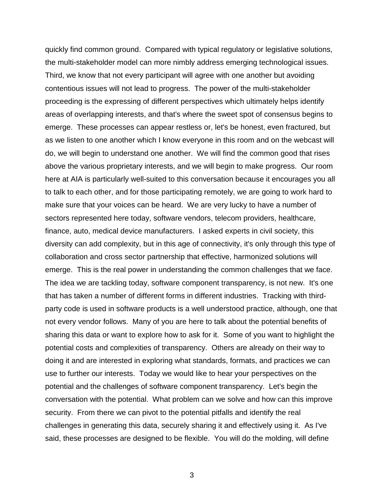quickly find common ground. Compared with typical regulatory or legislative solutions, the multi-stakeholder model can more nimbly address emerging technological issues. Third, we know that not every participant will agree with one another but avoiding contentious issues will not lead to progress. The power of the multi-stakeholder proceeding is the expressing of different perspectives which ultimately helps identify areas of overlapping interests, and that's where the sweet spot of consensus begins to emerge. These processes can appear restless or, let's be honest, even fractured, but as we listen to one another which I know everyone in this room and on the webcast will do, we will begin to understand one another. We will find the common good that rises above the various proprietary interests, and we will begin to make progress. Our room here at AIA is particularly well-suited to this conversation because it encourages you all to talk to each other, and for those participating remotely, we are going to work hard to make sure that your voices can be heard. We are very lucky to have a number of sectors represented here today, software vendors, telecom providers, healthcare, finance, auto, medical device manufacturers. I asked experts in civil society, this diversity can add complexity, but in this age of connectivity, it's only through this type of collaboration and cross sector partnership that effective, harmonized solutions will emerge. This is the real power in understanding the common challenges that we face. The idea we are tackling today, software component transparency, is not new. It's one that has taken a number of different forms in different industries. Tracking with thirdparty code is used in software products is a well understood practice, although, one that not every vendor follows. Many of you are here to talk about the potential benefits of sharing this data or want to explore how to ask for it. Some of you want to highlight the potential costs and complexities of transparency. Others are already on their way to doing it and are interested in exploring what standards, formats, and practices we can use to further our interests. Today we would like to hear your perspectives on the potential and the challenges of software component transparency. Let's begin the conversation with the potential. What problem can we solve and how can this improve security. From there we can pivot to the potential pitfalls and identify the real challenges in generating this data, securely sharing it and effectively using it. As I've said, these processes are designed to be flexible. You will do the molding, will define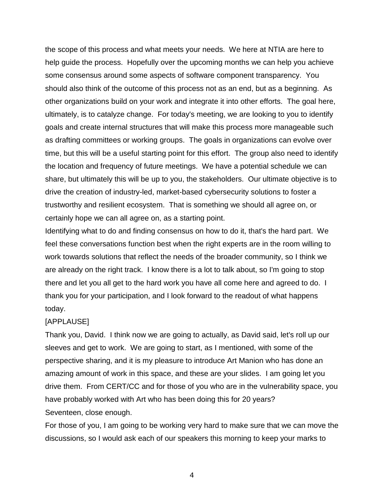the scope of this process and what meets your needs. We here at NTIA are here to help guide the process. Hopefully over the upcoming months we can help you achieve some consensus around some aspects of software component transparency. You should also think of the outcome of this process not as an end, but as a beginning. As other organizations build on your work and integrate it into other efforts. The goal here, ultimately, is to catalyze change. For today's meeting, we are looking to you to identify goals and create internal structures that will make this process more manageable such as drafting committees or working groups. The goals in organizations can evolve over time, but this will be a useful starting point for this effort. The group also need to identify the location and frequency of future meetings. We have a potential schedule we can share, but ultimately this will be up to you, the stakeholders. Our ultimate objective is to drive the creation of industry-led, market-based cybersecurity solutions to foster a trustworthy and resilient ecosystem. That is something we should all agree on, or certainly hope we can all agree on, as a starting point.

Identifying what to do and finding consensus on how to do it, that's the hard part. We feel these conversations function best when the right experts are in the room willing to work towards solutions that reflect the needs of the broader community, so I think we are already on the right track. I know there is a lot to talk about, so I'm going to stop there and let you all get to the hard work you have all come here and agreed to do. I thank you for your participation, and I look forward to the readout of what happens today.

# [APPLAUSE]

Thank you, David. I think now we are going to actually, as David said, let's roll up our sleeves and get to work. We are going to start, as I mentioned, with some of the perspective sharing, and it is my pleasure to introduce Art Manion who has done an amazing amount of work in this space, and these are your slides. I am going let you drive them. From CERT/CC and for those of you who are in the vulnerability space, you have probably worked with Art who has been doing this for 20 years? Seventeen, close enough.

For those of you, I am going to be working very hard to make sure that we can move the discussions, so I would ask each of our speakers this morning to keep your marks to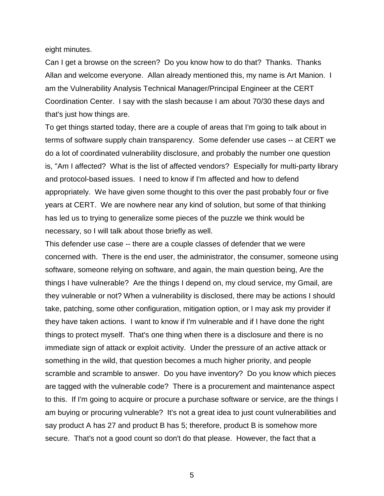eight minutes.

Can I get a browse on the screen? Do you know how to do that? Thanks. Thanks Allan and welcome everyone. Allan already mentioned this, my name is Art Manion. I am the Vulnerability Analysis Technical Manager/Principal Engineer at the CERT Coordination Center. I say with the slash because I am about 70/30 these days and that's just how things are.

To get things started today, there are a couple of areas that I'm going to talk about in terms of software supply chain transparency. Some defender use cases -- at CERT we do a lot of coordinated vulnerability disclosure, and probably the number one question is, "Am I affected? What is the list of affected vendors? Especially for multi-party library and protocol-based issues. I need to know if I'm affected and how to defend appropriately. We have given some thought to this over the past probably four or five years at CERT. We are nowhere near any kind of solution, but some of that thinking has led us to trying to generalize some pieces of the puzzle we think would be necessary, so I will talk about those briefly as well.

This defender use case -- there are a couple classes of defender that we were concerned with. There is the end user, the administrator, the consumer, someone using software, someone relying on software, and again, the main question being, Are the things I have vulnerable? Are the things I depend on, my cloud service, my Gmail, are they vulnerable or not? When a vulnerability is disclosed, there may be actions I should take, patching, some other configuration, mitigation option, or I may ask my provider if they have taken actions. I want to know if I'm vulnerable and if I have done the right things to protect myself. That's one thing when there is a disclosure and there is no immediate sign of attack or exploit activity. Under the pressure of an active attack or something in the wild, that question becomes a much higher priority, and people scramble and scramble to answer. Do you have inventory? Do you know which pieces are tagged with the vulnerable code? There is a procurement and maintenance aspect to this. If I'm going to acquire or procure a purchase software or service, are the things I am buying or procuring vulnerable? It's not a great idea to just count vulnerabilities and say product A has 27 and product B has 5; therefore, product B is somehow more secure. That's not a good count so don't do that please. However, the fact that a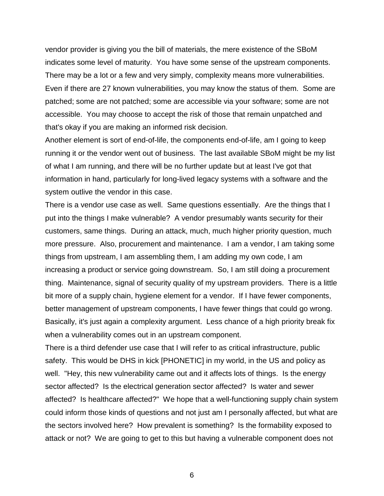vendor provider is giving you the bill of materials, the mere existence of the SBoM indicates some level of maturity. You have some sense of the upstream components. There may be a lot or a few and very simply, complexity means more vulnerabilities. Even if there are 27 known vulnerabilities, you may know the status of them. Some are patched; some are not patched; some are accessible via your software; some are not accessible. You may choose to accept the risk of those that remain unpatched and that's okay if you are making an informed risk decision.

Another element is sort of end-of-life, the components end-of-life, am I going to keep running it or the vendor went out of business. The last available SBoM might be my list of what I am running, and there will be no further update but at least I've got that information in hand, particularly for long-lived legacy systems with a software and the system outlive the vendor in this case.

There is a vendor use case as well. Same questions essentially. Are the things that I put into the things I make vulnerable? A vendor presumably wants security for their customers, same things. During an attack, much, much higher priority question, much more pressure. Also, procurement and maintenance. I am a vendor, I am taking some things from upstream, I am assembling them, I am adding my own code, I am increasing a product or service going downstream. So, I am still doing a procurement thing. Maintenance, signal of security quality of my upstream providers. There is a little bit more of a supply chain, hygiene element for a vendor. If I have fewer components, better management of upstream components, I have fewer things that could go wrong. Basically, it's just again a complexity argument. Less chance of a high priority break fix when a vulnerability comes out in an upstream component.

There is a third defender use case that I will refer to as critical infrastructure, public safety. This would be DHS in kick [PHONETIC] in my world, in the US and policy as well. "Hey, this new vulnerability came out and it affects lots of things. Is the energy sector affected? Is the electrical generation sector affected? Is water and sewer affected? Is healthcare affected?" We hope that a well-functioning supply chain system could inform those kinds of questions and not just am I personally affected, but what are the sectors involved here? How prevalent is something? Is the formability exposed to attack or not? We are going to get to this but having a vulnerable component does not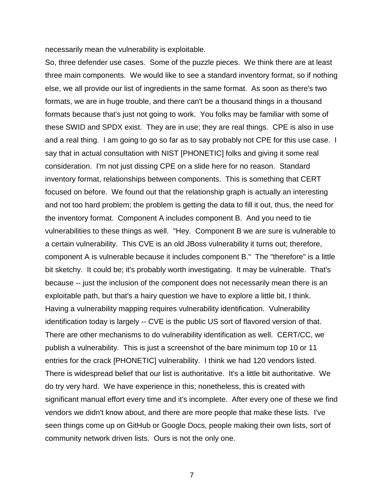necessarily mean the vulnerability is exploitable.

So, three defender use cases. Some of the puzzle pieces. We think there are at least three main components. We would like to see a standard inventory format, so if nothing else, we all provide our list of ingredients in the same format. As soon as there's two formats, we are in huge trouble, and there can't be a thousand things in a thousand formats because that's just not going to work. You folks may be familiar with some of these SWID and SPDX exist. They are in use; they are real things. CPE is also in use and a real thing. I am going to go so far as to say probably not CPE for this use case. I say that in actual consultation with NIST [PHONETIC] folks and giving it some real consideration. I'm not just dissing CPE on a slide here for no reason. Standard inventory format, relationships between components. This is something that CERT focused on before. We found out that the relationship graph is actually an interesting and not too hard problem; the problem is getting the data to fill it out, thus, the need for the inventory format. Component A includes component B. And you need to tie vulnerabilities to these things as well. "Hey. Component B we are sure is vulnerable to a certain vulnerability. This CVE is an old JBoss vulnerability it turns out; therefore, component A is vulnerable because it includes component B." The "therefore" is a little bit sketchy. It could be; it's probably worth investigating. It may be vulnerable. That's because -- just the inclusion of the component does not necessarily mean there is an exploitable path, but that's a hairy question we have to explore a little bit, I think. Having a vulnerability mapping requires vulnerability identification. Vulnerability identification today is largely -- CVE is the public US sort of flavored version of that. There are other mechanisms to do vulnerability identification as well. CERT/CC, we publish a vulnerability. This is just a screenshot of the bare minimum top 10 or 11 entries for the crack [PHONETIC] vulnerability. I think we had 120 vendors listed. There is widespread belief that our list is authoritative. It's a little bit authoritative. We do try very hard. We have experience in this; nonetheless, this is created with significant manual effort every time and it's incomplete. After every one of these we find vendors we didn't know about, and there are more people that make these lists. I've seen things come up on GitHub or Google Docs, people making their own lists, sort of community network driven lists. Ours is not the only one.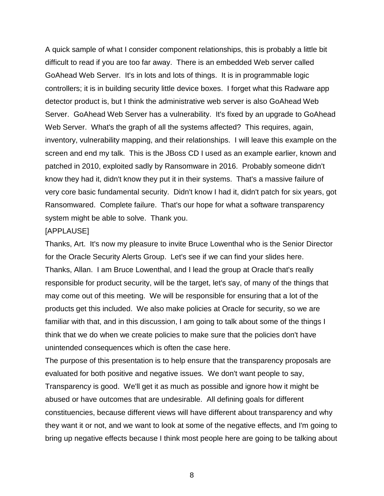A quick sample of what I consider component relationships, this is probably a little bit difficult to read if you are too far away. There is an embedded Web server called GoAhead Web Server. It's in lots and lots of things. It is in programmable logic controllers; it is in building security little device boxes. I forget what this Radware app detector product is, but I think the administrative web server is also GoAhead Web Server. GoAhead Web Server has a vulnerability. It's fixed by an upgrade to GoAhead Web Server. What's the graph of all the systems affected? This requires, again, inventory, vulnerability mapping, and their relationships. I will leave this example on the screen and end my talk. This is the JBoss CD I used as an example earlier, known and patched in 2010, exploited sadly by Ransomware in 2016. Probably someone didn't know they had it, didn't know they put it in their systems. That's a massive failure of very core basic fundamental security. Didn't know I had it, didn't patch for six years, got Ransomwared. Complete failure. That's our hope for what a software transparency system might be able to solve. Thank you.

### [APPLAUSE]

Thanks, Art. It's now my pleasure to invite Bruce Lowenthal who is the Senior Director for the Oracle Security Alerts Group. Let's see if we can find your slides here. Thanks, Allan. I am Bruce Lowenthal, and I lead the group at Oracle that's really responsible for product security, will be the target, let's say, of many of the things that may come out of this meeting. We will be responsible for ensuring that a lot of the products get this included. We also make policies at Oracle for security, so we are familiar with that, and in this discussion, I am going to talk about some of the things I think that we do when we create policies to make sure that the policies don't have unintended consequences which is often the case here.

The purpose of this presentation is to help ensure that the transparency proposals are evaluated for both positive and negative issues. We don't want people to say, Transparency is good. We'll get it as much as possible and ignore how it might be abused or have outcomes that are undesirable. All defining goals for different constituencies, because different views will have different about transparency and why they want it or not, and we want to look at some of the negative effects, and I'm going to bring up negative effects because I think most people here are going to be talking about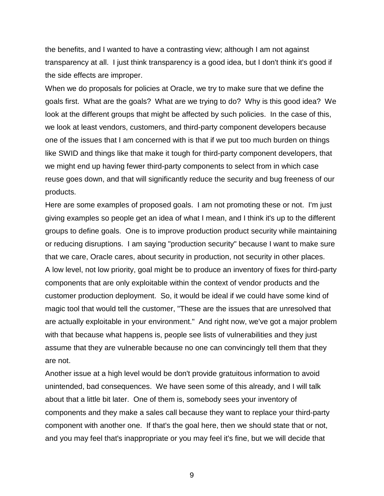the benefits, and I wanted to have a contrasting view; although I am not against transparency at all. I just think transparency is a good idea, but I don't think it's good if the side effects are improper.

When we do proposals for policies at Oracle, we try to make sure that we define the goals first. What are the goals? What are we trying to do? Why is this good idea? We look at the different groups that might be affected by such policies. In the case of this, we look at least vendors, customers, and third-party component developers because one of the issues that I am concerned with is that if we put too much burden on things like SWID and things like that make it tough for third-party component developers, that we might end up having fewer third-party components to select from in which case reuse goes down, and that will significantly reduce the security and bug freeness of our products.

Here are some examples of proposed goals. I am not promoting these or not. I'm just giving examples so people get an idea of what I mean, and I think it's up to the different groups to define goals. One is to improve production product security while maintaining or reducing disruptions. I am saying "production security" because I want to make sure that we care, Oracle cares, about security in production, not security in other places. A low level, not low priority, goal might be to produce an inventory of fixes for third-party components that are only exploitable within the context of vendor products and the customer production deployment. So, it would be ideal if we could have some kind of magic tool that would tell the customer, "These are the issues that are unresolved that are actually exploitable in your environment." And right now, we've got a major problem with that because what happens is, people see lists of vulnerabilities and they just assume that they are vulnerable because no one can convincingly tell them that they are not.

Another issue at a high level would be don't provide gratuitous information to avoid unintended, bad consequences. We have seen some of this already, and I will talk about that a little bit later. One of them is, somebody sees your inventory of components and they make a sales call because they want to replace your third-party component with another one. If that's the goal here, then we should state that or not, and you may feel that's inappropriate or you may feel it's fine, but we will decide that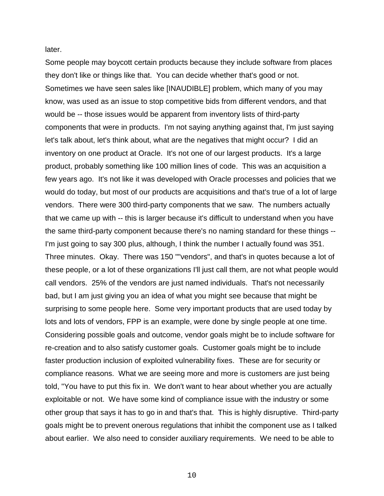later.

Some people may boycott certain products because they include software from places they don't like or things like that. You can decide whether that's good or not. Sometimes we have seen sales like [INAUDIBLE] problem, which many of you may know, was used as an issue to stop competitive bids from different vendors, and that would be -- those issues would be apparent from inventory lists of third-party components that were in products. I'm not saying anything against that, I'm just saying let's talk about, let's think about, what are the negatives that might occur? I did an inventory on one product at Oracle. It's not one of our largest products. It's a large product, probably something like 100 million lines of code. This was an acquisition a few years ago. It's not like it was developed with Oracle processes and policies that we would do today, but most of our products are acquisitions and that's true of a lot of large vendors. There were 300 third-party components that we saw. The numbers actually that we came up with -- this is larger because it's difficult to understand when you have the same third-party component because there's no naming standard for these things -- I'm just going to say 300 plus, although, I think the number I actually found was 351. Three minutes. Okay. There was 150 ""vendors", and that's in quotes because a lot of these people, or a lot of these organizations I'll just call them, are not what people would call vendors. 25% of the vendors are just named individuals. That's not necessarily bad, but I am just giving you an idea of what you might see because that might be surprising to some people here. Some very important products that are used today by lots and lots of vendors, FPP is an example, were done by single people at one time. Considering possible goals and outcome, vendor goals might be to include software for re-creation and to also satisfy customer goals. Customer goals might be to include faster production inclusion of exploited vulnerability fixes. These are for security or compliance reasons. What we are seeing more and more is customers are just being told, "You have to put this fix in. We don't want to hear about whether you are actually exploitable or not. We have some kind of compliance issue with the industry or some other group that says it has to go in and that's that. This is highly disruptive. Third-party goals might be to prevent onerous regulations that inhibit the component use as I talked about earlier. We also need to consider auxiliary requirements. We need to be able to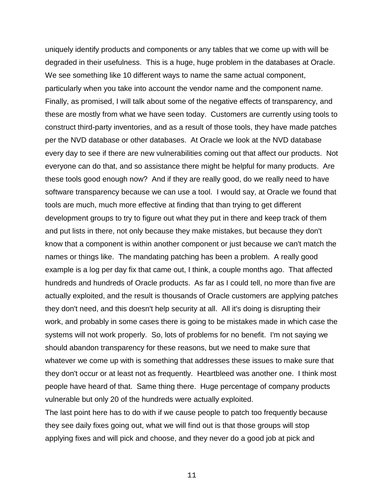uniquely identify products and components or any tables that we come up with will be degraded in their usefulness. This is a huge, huge problem in the databases at Oracle. We see something like 10 different ways to name the same actual component, particularly when you take into account the vendor name and the component name. Finally, as promised, I will talk about some of the negative effects of transparency, and these are mostly from what we have seen today. Customers are currently using tools to construct third-party inventories, and as a result of those tools, they have made patches per the NVD database or other databases. At Oracle we look at the NVD database every day to see if there are new vulnerabilities coming out that affect our products. Not everyone can do that, and so assistance there might be helpful for many products. Are these tools good enough now? And if they are really good, do we really need to have software transparency because we can use a tool. I would say, at Oracle we found that tools are much, much more effective at finding that than trying to get different development groups to try to figure out what they put in there and keep track of them and put lists in there, not only because they make mistakes, but because they don't know that a component is within another component or just because we can't match the names or things like. The mandating patching has been a problem. A really good example is a log per day fix that came out, I think, a couple months ago. That affected hundreds and hundreds of Oracle products. As far as I could tell, no more than five are actually exploited, and the result is thousands of Oracle customers are applying patches they don't need, and this doesn't help security at all. All it's doing is disrupting their work, and probably in some cases there is going to be mistakes made in which case the systems will not work properly. So, lots of problems for no benefit. I'm not saying we should abandon transparency for these reasons, but we need to make sure that whatever we come up with is something that addresses these issues to make sure that they don't occur or at least not as frequently. Heartbleed was another one. I think most people have heard of that. Same thing there. Huge percentage of company products vulnerable but only 20 of the hundreds were actually exploited.

The last point here has to do with if we cause people to patch too frequently because they see daily fixes going out, what we will find out is that those groups will stop applying fixes and will pick and choose, and they never do a good job at pick and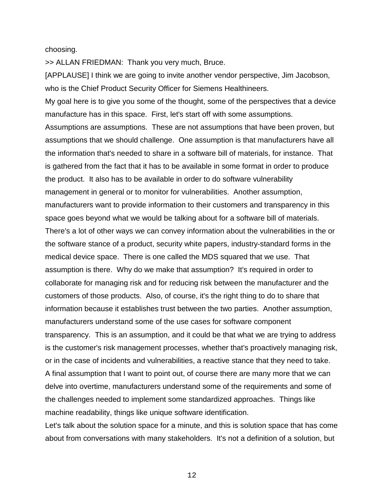choosing.

>> ALLAN FRIEDMAN: Thank you very much, Bruce.

[APPLAUSE] I think we are going to invite another vendor perspective, Jim Jacobson, who is the Chief Product Security Officer for Siemens Healthineers.

My goal here is to give you some of the thought, some of the perspectives that a device manufacture has in this space. First, let's start off with some assumptions.

Assumptions are assumptions. These are not assumptions that have been proven, but assumptions that we should challenge. One assumption is that manufacturers have all the information that's needed to share in a software bill of materials, for instance. That is gathered from the fact that it has to be available in some format in order to produce the product. It also has to be available in order to do software vulnerability management in general or to monitor for vulnerabilities. Another assumption, manufacturers want to provide information to their customers and transparency in this space goes beyond what we would be talking about for a software bill of materials. There's a lot of other ways we can convey information about the vulnerabilities in the or the software stance of a product, security white papers, industry-standard forms in the medical device space. There is one called the MDS squared that we use. That assumption is there. Why do we make that assumption? It's required in order to collaborate for managing risk and for reducing risk between the manufacturer and the customers of those products. Also, of course, it's the right thing to do to share that information because it establishes trust between the two parties. Another assumption, manufacturers understand some of the use cases for software component transparency. This is an assumption, and it could be that what we are trying to address is the customer's risk management processes, whether that's proactively managing risk, or in the case of incidents and vulnerabilities, a reactive stance that they need to take. A final assumption that I want to point out, of course there are many more that we can delve into overtime, manufacturers understand some of the requirements and some of the challenges needed to implement some standardized approaches. Things like machine readability, things like unique software identification.

Let's talk about the solution space for a minute, and this is solution space that has come about from conversations with many stakeholders. It's not a definition of a solution, but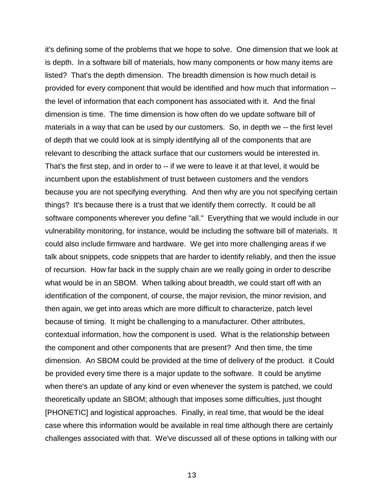it's defining some of the problems that we hope to solve. One dimension that we look at is depth. In a software bill of materials, how many components or how many items are listed? That's the depth dimension. The breadth dimension is how much detail is provided for every component that would be identified and how much that information - the level of information that each component has associated with it. And the final dimension is time. The time dimension is how often do we update software bill of materials in a way that can be used by our customers. So, in depth we -- the first level of depth that we could look at is simply identifying all of the components that are relevant to describing the attack surface that our customers would be interested in. That's the first step, and in order to -- if we were to leave it at that level, it would be incumbent upon the establishment of trust between customers and the vendors because you are not specifying everything. And then why are you not specifying certain things? It's because there is a trust that we identify them correctly. It could be all software components wherever you define "all." Everything that we would include in our vulnerability monitoring, for instance, would be including the software bill of materials. It could also include firmware and hardware. We get into more challenging areas if we talk about snippets, code snippets that are harder to identify reliably, and then the issue of recursion. How far back in the supply chain are we really going in order to describe what would be in an SBOM. When talking about breadth, we could start off with an identification of the component, of course, the major revision, the minor revision, and then again, we get into areas which are more difficult to characterize, patch level because of timing. It might be challenging to a manufacturer. Other attributes, contextual information, how the component is used. What is the relationship between the component and other components that are present? And then time, the time dimension. An SBOM could be provided at the time of delivery of the product. it Could be provided every time there is a major update to the software. It could be anytime when there's an update of any kind or even whenever the system is patched, we could theoretically update an SBOM; although that imposes some difficulties, just thought [PHONETIC] and logistical approaches. Finally, in real time, that would be the ideal case where this information would be available in real time although there are certainly challenges associated with that. We've discussed all of these options in talking with our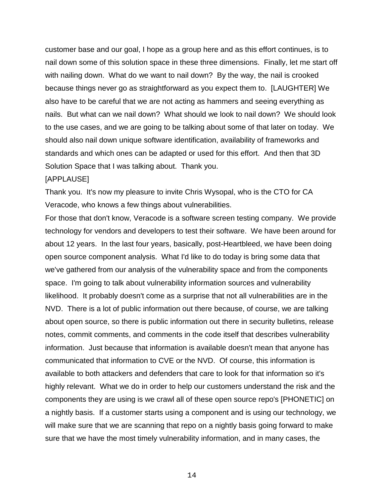customer base and our goal, I hope as a group here and as this effort continues, is to nail down some of this solution space in these three dimensions. Finally, let me start off with nailing down. What do we want to nail down? By the way, the nail is crooked because things never go as straightforward as you expect them to. [LAUGHTER] We also have to be careful that we are not acting as hammers and seeing everything as nails. But what can we nail down? What should we look to nail down? We should look to the use cases, and we are going to be talking about some of that later on today. We should also nail down unique software identification, availability of frameworks and standards and which ones can be adapted or used for this effort. And then that 3D Solution Space that I was talking about. Thank you.

### [APPLAUSE]

Thank you. It's now my pleasure to invite Chris Wysopal, who is the CTO for CA Veracode, who knows a few things about vulnerabilities.

For those that don't know, Veracode is a software screen testing company. We provide technology for vendors and developers to test their software. We have been around for about 12 years. In the last four years, basically, post-Heartbleed, we have been doing open source component analysis. What I'd like to do today is bring some data that we've gathered from our analysis of the vulnerability space and from the components space. I'm going to talk about vulnerability information sources and vulnerability likelihood. It probably doesn't come as a surprise that not all vulnerabilities are in the NVD. There is a lot of public information out there because, of course, we are talking about open source, so there is public information out there in security bulletins, release notes, commit comments, and comments in the code itself that describes vulnerability information. Just because that information is available doesn't mean that anyone has communicated that information to CVE or the NVD. Of course, this information is available to both attackers and defenders that care to look for that information so it's highly relevant. What we do in order to help our customers understand the risk and the components they are using is we crawl all of these open source repo's [PHONETIC] on a nightly basis. If a customer starts using a component and is using our technology, we will make sure that we are scanning that repo on a nightly basis going forward to make sure that we have the most timely vulnerability information, and in many cases, the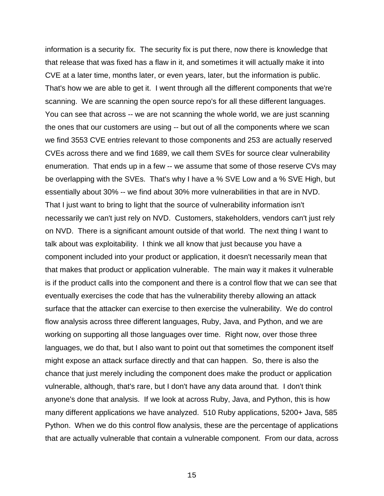information is a security fix. The security fix is put there, now there is knowledge that that release that was fixed has a flaw in it, and sometimes it will actually make it into CVE at a later time, months later, or even years, later, but the information is public. That's how we are able to get it. I went through all the different components that we're scanning. We are scanning the open source repo's for all these different languages. You can see that across -- we are not scanning the whole world, we are just scanning the ones that our customers are using -- but out of all the components where we scan we find 3553 CVE entries relevant to those components and 253 are actually reserved CVEs across there and we find 1689, we call them SVEs for source clear vulnerability enumeration. That ends up in a few -- we assume that some of those reserve CVs may be overlapping with the SVEs. That's why I have a % SVE Low and a % SVE High, but essentially about 30% -- we find about 30% more vulnerabilities in that are in NVD. That I just want to bring to light that the source of vulnerability information isn't necessarily we can't just rely on NVD. Customers, stakeholders, vendors can't just rely on NVD. There is a significant amount outside of that world. The next thing I want to talk about was exploitability. I think we all know that just because you have a component included into your product or application, it doesn't necessarily mean that that makes that product or application vulnerable. The main way it makes it vulnerable is if the product calls into the component and there is a control flow that we can see that eventually exercises the code that has the vulnerability thereby allowing an attack surface that the attacker can exercise to then exercise the vulnerability. We do control flow analysis across three different languages, Ruby, Java, and Python, and we are working on supporting all those languages over time. Right now, over those three languages, we do that, but I also want to point out that sometimes the component itself might expose an attack surface directly and that can happen. So, there is also the chance that just merely including the component does make the product or application vulnerable, although, that's rare, but I don't have any data around that. I don't think anyone's done that analysis. If we look at across Ruby, Java, and Python, this is how many different applications we have analyzed. 510 Ruby applications, 5200+ Java, 585 Python. When we do this control flow analysis, these are the percentage of applications that are actually vulnerable that contain a vulnerable component. From our data, across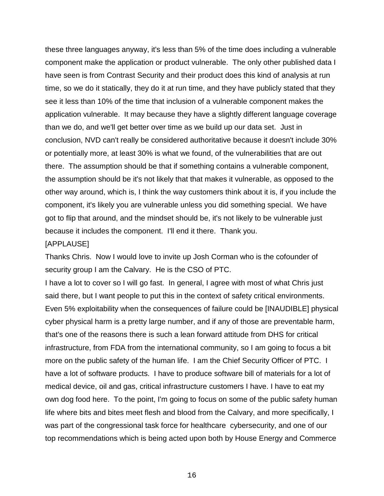these three languages anyway, it's less than 5% of the time does including a vulnerable component make the application or product vulnerable. The only other published data I have seen is from Contrast Security and their product does this kind of analysis at run time, so we do it statically, they do it at run time, and they have publicly stated that they see it less than 10% of the time that inclusion of a vulnerable component makes the application vulnerable. It may because they have a slightly different language coverage than we do, and we'll get better over time as we build up our data set. Just in conclusion, NVD can't really be considered authoritative because it doesn't include 30% or potentially more, at least 30% is what we found, of the vulnerabilities that are out there. The assumption should be that if something contains a vulnerable component, the assumption should be it's not likely that that makes it vulnerable, as opposed to the other way around, which is, I think the way customers think about it is, if you include the component, it's likely you are vulnerable unless you did something special. We have got to flip that around, and the mindset should be, it's not likely to be vulnerable just because it includes the component. I'll end it there. Thank you.

#### [APPLAUSE]

Thanks Chris. Now I would love to invite up Josh Corman who is the cofounder of security group I am the Calvary. He is the CSO of PTC.

I have a lot to cover so I will go fast. In general, I agree with most of what Chris just said there, but I want people to put this in the context of safety critical environments. Even 5% exploitability when the consequences of failure could be [INAUDIBLE] physical cyber physical harm is a pretty large number, and if any of those are preventable harm, that's one of the reasons there is such a lean forward attitude from DHS for critical infrastructure, from FDA from the international community, so I am going to focus a bit more on the public safety of the human life. I am the Chief Security Officer of PTC. I have a lot of software products. I have to produce software bill of materials for a lot of medical device, oil and gas, critical infrastructure customers I have. I have to eat my own dog food here. To the point, I'm going to focus on some of the public safety human life where bits and bites meet flesh and blood from the Calvary, and more specifically, I was part of the congressional task force for healthcare cybersecurity, and one of our top recommendations which is being acted upon both by House Energy and Commerce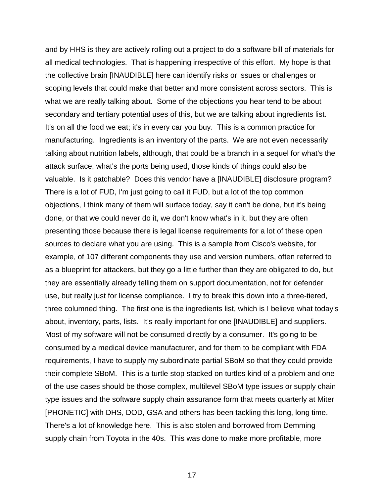and by HHS is they are actively rolling out a project to do a software bill of materials for all medical technologies. That is happening irrespective of this effort. My hope is that the collective brain [INAUDIBLE] here can identify risks or issues or challenges or scoping levels that could make that better and more consistent across sectors. This is what we are really talking about. Some of the objections you hear tend to be about secondary and tertiary potential uses of this, but we are talking about ingredients list. It's on all the food we eat; it's in every car you buy. This is a common practice for manufacturing. Ingredients is an inventory of the parts. We are not even necessarily talking about nutrition labels, although, that could be a branch in a sequel for what's the attack surface, what's the ports being used, those kinds of things could also be valuable. Is it patchable? Does this vendor have a [INAUDIBLE] disclosure program? There is a lot of FUD, I'm just going to call it FUD, but a lot of the top common objections, I think many of them will surface today, say it can't be done, but it's being done, or that we could never do it, we don't know what's in it, but they are often presenting those because there is legal license requirements for a lot of these open sources to declare what you are using. This is a sample from Cisco's website, for example, of 107 different components they use and version numbers, often referred to as a blueprint for attackers, but they go a little further than they are obligated to do, but they are essentially already telling them on support documentation, not for defender use, but really just for license compliance. I try to break this down into a three-tiered, three columned thing. The first one is the ingredients list, which is I believe what today's about, inventory, parts, lists. It's really important for one [INAUDIBLE] and suppliers. Most of my software will not be consumed directly by a consumer. It's going to be consumed by a medical device manufacturer, and for them to be compliant with FDA requirements, I have to supply my subordinate partial SBoM so that they could provide their complete SBoM. This is a turtle stop stacked on turtles kind of a problem and one of the use cases should be those complex, multilevel SBoM type issues or supply chain type issues and the software supply chain assurance form that meets quarterly at Miter [PHONETIC] with DHS, DOD, GSA and others has been tackling this long, long time. There's a lot of knowledge here. This is also stolen and borrowed from Demming supply chain from Toyota in the 40s. This was done to make more profitable, more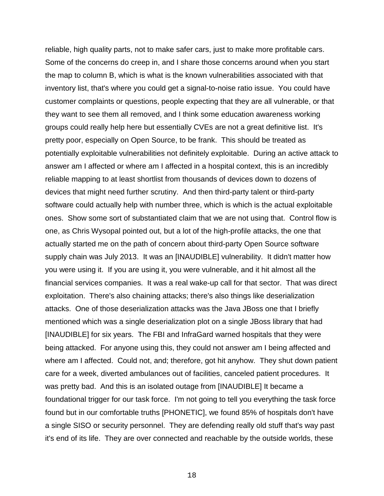reliable, high quality parts, not to make safer cars, just to make more profitable cars. Some of the concerns do creep in, and I share those concerns around when you start the map to column B, which is what is the known vulnerabilities associated with that inventory list, that's where you could get a signal-to-noise ratio issue. You could have customer complaints or questions, people expecting that they are all vulnerable, or that they want to see them all removed, and I think some education awareness working groups could really help here but essentially CVEs are not a great definitive list. It's pretty poor, especially on Open Source, to be frank. This should be treated as potentially exploitable vulnerabilities not definitely exploitable. During an active attack to answer am I affected or where am I affected in a hospital context, this is an incredibly reliable mapping to at least shortlist from thousands of devices down to dozens of devices that might need further scrutiny. And then third-party talent or third-party software could actually help with number three, which is which is the actual exploitable ones. Show some sort of substantiated claim that we are not using that. Control flow is one, as Chris Wysopal pointed out, but a lot of the high-profile attacks, the one that actually started me on the path of concern about third-party Open Source software supply chain was July 2013. It was an [INAUDIBLE] vulnerability. It didn't matter how you were using it. If you are using it, you were vulnerable, and it hit almost all the financial services companies. It was a real wake-up call for that sector. That was direct exploitation. There's also chaining attacks; there's also things like deserialization attacks. One of those deserialization attacks was the Java JBoss one that I briefly mentioned which was a single deserialization plot on a single JBoss library that had [INAUDIBLE] for six years. The FBI and InfraGard warned hospitals that they were being attacked. For anyone using this, they could not answer am I being affected and where am I affected. Could not, and; therefore, got hit anyhow. They shut down patient care for a week, diverted ambulances out of facilities, canceled patient procedures. It was pretty bad. And this is an isolated outage from [INAUDIBLE] It became a foundational trigger for our task force. I'm not going to tell you everything the task force found but in our comfortable truths [PHONETIC], we found 85% of hospitals don't have a single SISO or security personnel. They are defending really old stuff that's way past it's end of its life. They are over connected and reachable by the outside worlds, these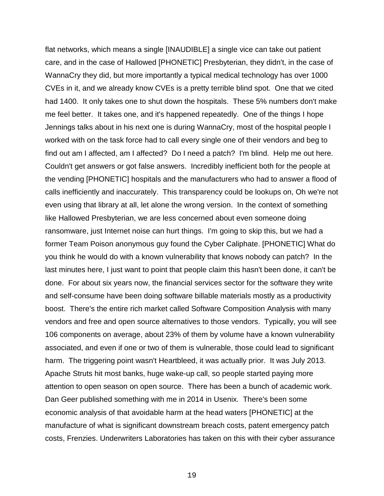flat networks, which means a single [INAUDIBLE] a single vice can take out patient care, and in the case of Hallowed [PHONETIC] Presbyterian, they didn't, in the case of WannaCry they did, but more importantly a typical medical technology has over 1000 CVEs in it, and we already know CVEs is a pretty terrible blind spot. One that we cited had 1400. It only takes one to shut down the hospitals. These 5% numbers don't make me feel better. It takes one, and it's happened repeatedly. One of the things I hope Jennings talks about in his next one is during WannaCry, most of the hospital people I worked with on the task force had to call every single one of their vendors and beg to find out am I affected, am I affected? Do I need a patch? I'm blind. Help me out here. Couldn't get answers or got false answers. Incredibly inefficient both for the people at the vending [PHONETIC] hospitals and the manufacturers who had to answer a flood of calls inefficiently and inaccurately. This transparency could be lookups on, Oh we're not even using that library at all, let alone the wrong version. In the context of something like Hallowed Presbyterian, we are less concerned about even someone doing ransomware, just Internet noise can hurt things. I'm going to skip this, but we had a former Team Poison anonymous guy found the Cyber Caliphate. [PHONETIC] What do you think he would do with a known vulnerability that knows nobody can patch? In the last minutes here, I just want to point that people claim this hasn't been done, it can't be done. For about six years now, the financial services sector for the software they write and self-consume have been doing software billable materials mostly as a productivity boost. There's the entire rich market called Software Composition Analysis with many vendors and free and open source alternatives to those vendors. Typically, you will see 106 components on average, about 23% of them by volume have a known vulnerability associated, and even if one or two of them is vulnerable, those could lead to significant harm. The triggering point wasn't Heartbleed, it was actually prior. It was July 2013. Apache Struts hit most banks, huge wake-up call, so people started paying more attention to open season on open source. There has been a bunch of academic work. Dan Geer published something with me in 2014 in Usenix. There's been some economic analysis of that avoidable harm at the head waters [PHONETIC] at the manufacture of what is significant downstream breach costs, patent emergency patch costs, Frenzies. Underwriters Laboratories has taken on this with their cyber assurance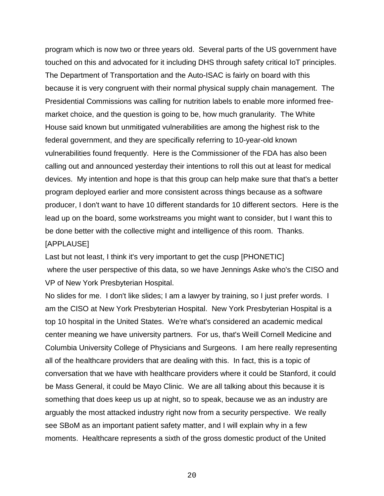program which is now two or three years old. Several parts of the US government have touched on this and advocated for it including DHS through safety critical IoT principles. The Department of Transportation and the Auto-ISAC is fairly on board with this because it is very congruent with their normal physical supply chain management. The Presidential Commissions was calling for nutrition labels to enable more informed freemarket choice, and the question is going to be, how much granularity. The White House said known but unmitigated vulnerabilities are among the highest risk to the federal government, and they are specifically referring to 10-year-old known vulnerabilities found frequently. Here is the Commissioner of the FDA has also been calling out and announced yesterday their intentions to roll this out at least for medical devices. My intention and hope is that this group can help make sure that that's a better program deployed earlier and more consistent across things because as a software producer, I don't want to have 10 different standards for 10 different sectors. Here is the lead up on the board, some workstreams you might want to consider, but I want this to be done better with the collective might and intelligence of this room. Thanks.

#### [APPLAUSE]

Last but not least, I think it's very important to get the cusp [PHONETIC] where the user perspective of this data, so we have Jennings Aske who's the CISO and VP of New York Presbyterian Hospital.

No slides for me. I don't like slides; I am a lawyer by training, so I just prefer words. I am the CISO at New York Presbyterian Hospital. New York Presbyterian Hospital is a top 10 hospital in the United States. We're what's considered an academic medical center meaning we have university partners. For us, that's Weill Cornell Medicine and Columbia University College of Physicians and Surgeons. I am here really representing all of the healthcare providers that are dealing with this. In fact, this is a topic of conversation that we have with healthcare providers where it could be Stanford, it could be Mass General, it could be Mayo Clinic. We are all talking about this because it is something that does keep us up at night, so to speak, because we as an industry are arguably the most attacked industry right now from a security perspective. We really see SBoM as an important patient safety matter, and I will explain why in a few moments. Healthcare represents a sixth of the gross domestic product of the United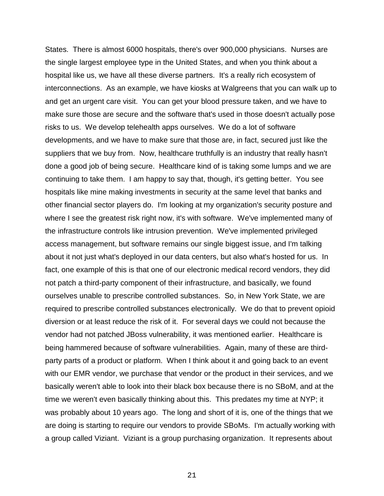States. There is almost 6000 hospitals, there's over 900,000 physicians. Nurses are the single largest employee type in the United States, and when you think about a hospital like us, we have all these diverse partners. It's a really rich ecosystem of interconnections. As an example, we have kiosks at Walgreens that you can walk up to and get an urgent care visit. You can get your blood pressure taken, and we have to make sure those are secure and the software that's used in those doesn't actually pose risks to us. We develop telehealth apps ourselves. We do a lot of software developments, and we have to make sure that those are, in fact, secured just like the suppliers that we buy from. Now, healthcare truthfully is an industry that really hasn't done a good job of being secure. Healthcare kind of is taking some lumps and we are continuing to take them. I am happy to say that, though, it's getting better. You see hospitals like mine making investments in security at the same level that banks and other financial sector players do. I'm looking at my organization's security posture and where I see the greatest risk right now, it's with software. We've implemented many of the infrastructure controls like intrusion prevention. We've implemented privileged access management, but software remains our single biggest issue, and I'm talking about it not just what's deployed in our data centers, but also what's hosted for us. In fact, one example of this is that one of our electronic medical record vendors, they did not patch a third-party component of their infrastructure, and basically, we found ourselves unable to prescribe controlled substances. So, in New York State, we are required to prescribe controlled substances electronically. We do that to prevent opioid diversion or at least reduce the risk of it. For several days we could not because the vendor had not patched JBoss vulnerability, it was mentioned earlier. Healthcare is being hammered because of software vulnerabilities. Again, many of these are thirdparty parts of a product or platform. When I think about it and going back to an event with our EMR vendor, we purchase that vendor or the product in their services, and we basically weren't able to look into their black box because there is no SBoM, and at the time we weren't even basically thinking about this. This predates my time at NYP; it was probably about 10 years ago. The long and short of it is, one of the things that we are doing is starting to require our vendors to provide SBoMs. I'm actually working with a group called Viziant. Viziant is a group purchasing organization. It represents about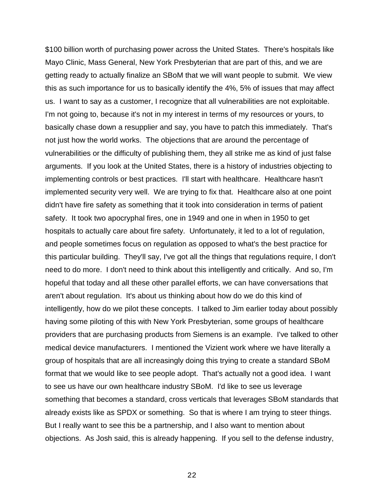\$100 billion worth of purchasing power across the United States. There's hospitals like Mayo Clinic, Mass General, New York Presbyterian that are part of this, and we are getting ready to actually finalize an SBoM that we will want people to submit. We view this as such importance for us to basically identify the 4%, 5% of issues that may affect us. I want to say as a customer, I recognize that all vulnerabilities are not exploitable. I'm not going to, because it's not in my interest in terms of my resources or yours, to basically chase down a resupplier and say, you have to patch this immediately. That's not just how the world works. The objections that are around the percentage of vulnerabilities or the difficulty of publishing them, they all strike me as kind of just false arguments. If you look at the United States, there is a history of industries objecting to implementing controls or best practices. I'll start with healthcare. Healthcare hasn't implemented security very well. We are trying to fix that. Healthcare also at one point didn't have fire safety as something that it took into consideration in terms of patient safety. It took two apocryphal fires, one in 1949 and one in when in 1950 to get hospitals to actually care about fire safety. Unfortunately, it led to a lot of regulation, and people sometimes focus on regulation as opposed to what's the best practice for this particular building. They'll say, I've got all the things that regulations require, I don't need to do more. I don't need to think about this intelligently and critically. And so, I'm hopeful that today and all these other parallel efforts, we can have conversations that aren't about regulation. It's about us thinking about how do we do this kind of intelligently, how do we pilot these concepts. I talked to Jim earlier today about possibly having some piloting of this with New York Presbyterian, some groups of healthcare providers that are purchasing products from Siemens is an example. I've talked to other medical device manufacturers. I mentioned the Vizient work where we have literally a group of hospitals that are all increasingly doing this trying to create a standard SBoM format that we would like to see people adopt. That's actually not a good idea. I want to see us have our own healthcare industry SBoM. I'd like to see us leverage something that becomes a standard, cross verticals that leverages SBoM standards that already exists like as SPDX or something. So that is where I am trying to steer things. But I really want to see this be a partnership, and I also want to mention about objections. As Josh said, this is already happening. If you sell to the defense industry,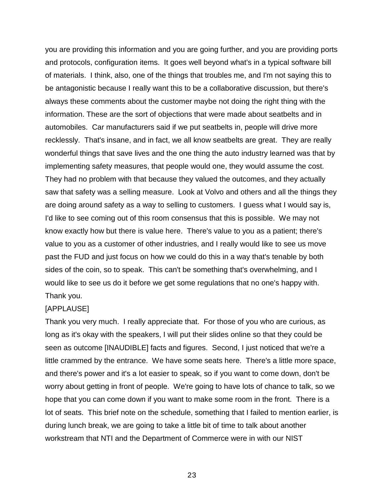you are providing this information and you are going further, and you are providing ports and protocols, configuration items. It goes well beyond what's in a typical software bill of materials. I think, also, one of the things that troubles me, and I'm not saying this to be antagonistic because I really want this to be a collaborative discussion, but there's always these comments about the customer maybe not doing the right thing with the information. These are the sort of objections that were made about seatbelts and in automobiles. Car manufacturers said if we put seatbelts in, people will drive more recklessly. That's insane, and in fact, we all know seatbelts are great. They are really wonderful things that save lives and the one thing the auto industry learned was that by implementing safety measures, that people would one, they would assume the cost. They had no problem with that because they valued the outcomes, and they actually saw that safety was a selling measure. Look at Volvo and others and all the things they are doing around safety as a way to selling to customers. I guess what I would say is, I'd like to see coming out of this room consensus that this is possible. We may not know exactly how but there is value here. There's value to you as a patient; there's value to you as a customer of other industries, and I really would like to see us move past the FUD and just focus on how we could do this in a way that's tenable by both sides of the coin, so to speak. This can't be something that's overwhelming, and I would like to see us do it before we get some regulations that no one's happy with. Thank you.

#### [APPLAUSE]

Thank you very much. I really appreciate that. For those of you who are curious, as long as it's okay with the speakers, I will put their slides online so that they could be seen as outcome [INAUDIBLE] facts and figures. Second, I just noticed that we're a little crammed by the entrance. We have some seats here. There's a little more space, and there's power and it's a lot easier to speak, so if you want to come down, don't be worry about getting in front of people. We're going to have lots of chance to talk, so we hope that you can come down if you want to make some room in the front. There is a lot of seats. This brief note on the schedule, something that I failed to mention earlier, is during lunch break, we are going to take a little bit of time to talk about another workstream that NTI and the Department of Commerce were in with our NIST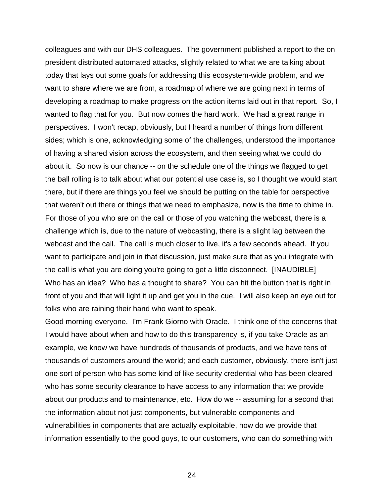colleagues and with our DHS colleagues. The government published a report to the on president distributed automated attacks, slightly related to what we are talking about today that lays out some goals for addressing this ecosystem-wide problem, and we want to share where we are from, a roadmap of where we are going next in terms of developing a roadmap to make progress on the action items laid out in that report. So, I wanted to flag that for you. But now comes the hard work. We had a great range in perspectives. I won't recap, obviously, but I heard a number of things from different sides; which is one, acknowledging some of the challenges, understood the importance of having a shared vision across the ecosystem, and then seeing what we could do about it. So now is our chance -- on the schedule one of the things we flagged to get the ball rolling is to talk about what our potential use case is, so I thought we would start there, but if there are things you feel we should be putting on the table for perspective that weren't out there or things that we need to emphasize, now is the time to chime in. For those of you who are on the call or those of you watching the webcast, there is a challenge which is, due to the nature of webcasting, there is a slight lag between the webcast and the call. The call is much closer to live, it's a few seconds ahead. If you want to participate and join in that discussion, just make sure that as you integrate with the call is what you are doing you're going to get a little disconnect. [INAUDIBLE] Who has an idea? Who has a thought to share? You can hit the button that is right in front of you and that will light it up and get you in the cue. I will also keep an eye out for folks who are raining their hand who want to speak.

Good morning everyone. I'm Frank Giorno with Oracle. I think one of the concerns that I would have about when and how to do this transparency is, if you take Oracle as an example, we know we have hundreds of thousands of products, and we have tens of thousands of customers around the world; and each customer, obviously, there isn't just one sort of person who has some kind of like security credential who has been cleared who has some security clearance to have access to any information that we provide about our products and to maintenance, etc. How do we -- assuming for a second that the information about not just components, but vulnerable components and vulnerabilities in components that are actually exploitable, how do we provide that information essentially to the good guys, to our customers, who can do something with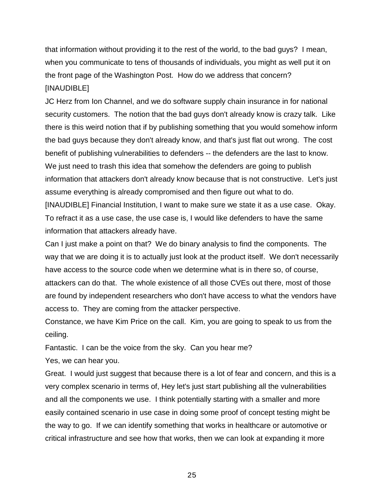that information without providing it to the rest of the world, to the bad guys? I mean, when you communicate to tens of thousands of individuals, you might as well put it on the front page of the Washington Post. How do we address that concern? [INAUDIBLE]

JC Herz from Ion Channel, and we do software supply chain insurance in for national security customers. The notion that the bad guys don't already know is crazy talk. Like there is this weird notion that if by publishing something that you would somehow inform the bad guys because they don't already know, and that's just flat out wrong. The cost benefit of publishing vulnerabilities to defenders -- the defenders are the last to know. We just need to trash this idea that somehow the defenders are going to publish information that attackers don't already know because that is not constructive. Let's just assume everything is already compromised and then figure out what to do.

[INAUDIBLE] Financial Institution, I want to make sure we state it as a use case. Okay. To refract it as a use case, the use case is, I would like defenders to have the same information that attackers already have.

Can I just make a point on that? We do binary analysis to find the components. The way that we are doing it is to actually just look at the product itself. We don't necessarily have access to the source code when we determine what is in there so, of course, attackers can do that. The whole existence of all those CVEs out there, most of those are found by independent researchers who don't have access to what the vendors have access to. They are coming from the attacker perspective.

Constance, we have Kim Price on the call. Kim, you are going to speak to us from the ceiling.

Fantastic. I can be the voice from the sky. Can you hear me?

Yes, we can hear you.

Great. I would just suggest that because there is a lot of fear and concern, and this is a very complex scenario in terms of, Hey let's just start publishing all the vulnerabilities and all the components we use. I think potentially starting with a smaller and more easily contained scenario in use case in doing some proof of concept testing might be the way to go. If we can identify something that works in healthcare or automotive or critical infrastructure and see how that works, then we can look at expanding it more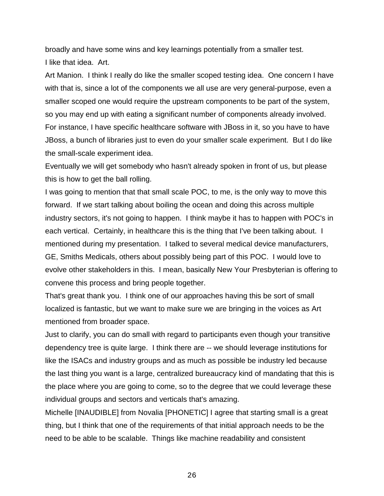broadly and have some wins and key learnings potentially from a smaller test. I like that idea. Art.

Art Manion. I think I really do like the smaller scoped testing idea. One concern I have with that is, since a lot of the components we all use are very general-purpose, even a smaller scoped one would require the upstream components to be part of the system, so you may end up with eating a significant number of components already involved. For instance, I have specific healthcare software with JBoss in it, so you have to have JBoss, a bunch of libraries just to even do your smaller scale experiment. But I do like the small-scale experiment idea.

Eventually we will get somebody who hasn't already spoken in front of us, but please this is how to get the ball rolling.

I was going to mention that that small scale POC, to me, is the only way to move this forward. If we start talking about boiling the ocean and doing this across multiple industry sectors, it's not going to happen. I think maybe it has to happen with POC's in each vertical. Certainly, in healthcare this is the thing that I've been talking about. I mentioned during my presentation. I talked to several medical device manufacturers, GE, Smiths Medicals, others about possibly being part of this POC. I would love to evolve other stakeholders in this. I mean, basically New Your Presbyterian is offering to convene this process and bring people together.

That's great thank you. I think one of our approaches having this be sort of small localized is fantastic, but we want to make sure we are bringing in the voices as Art mentioned from broader space.

Just to clarify, you can do small with regard to participants even though your transitive dependency tree is quite large. I think there are -- we should leverage institutions for like the ISACs and industry groups and as much as possible be industry led because the last thing you want is a large, centralized bureaucracy kind of mandating that this is the place where you are going to come, so to the degree that we could leverage these individual groups and sectors and verticals that's amazing.

Michelle [INAUDIBLE] from Novalia [PHONETIC] I agree that starting small is a great thing, but I think that one of the requirements of that initial approach needs to be the need to be able to be scalable. Things like machine readability and consistent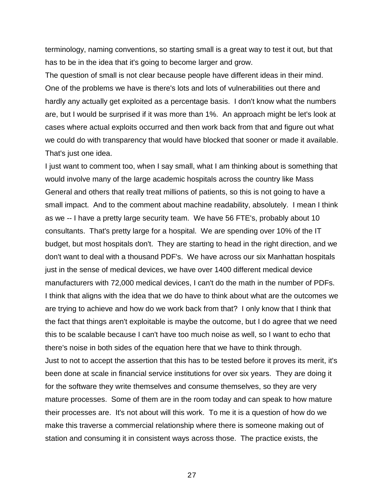terminology, naming conventions, so starting small is a great way to test it out, but that has to be in the idea that it's going to become larger and grow.

The question of small is not clear because people have different ideas in their mind. One of the problems we have is there's lots and lots of vulnerabilities out there and hardly any actually get exploited as a percentage basis. I don't know what the numbers are, but I would be surprised if it was more than 1%. An approach might be let's look at cases where actual exploits occurred and then work back from that and figure out what we could do with transparency that would have blocked that sooner or made it available. That's just one idea.

I just want to comment too, when I say small, what I am thinking about is something that would involve many of the large academic hospitals across the country like Mass General and others that really treat millions of patients, so this is not going to have a small impact. And to the comment about machine readability, absolutely. I mean I think as we -- I have a pretty large security team. We have 56 FTE's, probably about 10 consultants. That's pretty large for a hospital. We are spending over 10% of the IT budget, but most hospitals don't. They are starting to head in the right direction, and we don't want to deal with a thousand PDF's. We have across our six Manhattan hospitals just in the sense of medical devices, we have over 1400 different medical device manufacturers with 72,000 medical devices, I can't do the math in the number of PDFs. I think that aligns with the idea that we do have to think about what are the outcomes we are trying to achieve and how do we work back from that? I only know that I think that the fact that things aren't exploitable is maybe the outcome, but I do agree that we need this to be scalable because I can't have too much noise as well, so I want to echo that there's noise in both sides of the equation here that we have to think through. Just to not to accept the assertion that this has to be tested before it proves its merit, it's been done at scale in financial service institutions for over six years. They are doing it for the software they write themselves and consume themselves, so they are very mature processes. Some of them are in the room today and can speak to how mature their processes are. It's not about will this work. To me it is a question of how do we make this traverse a commercial relationship where there is someone making out of station and consuming it in consistent ways across those. The practice exists, the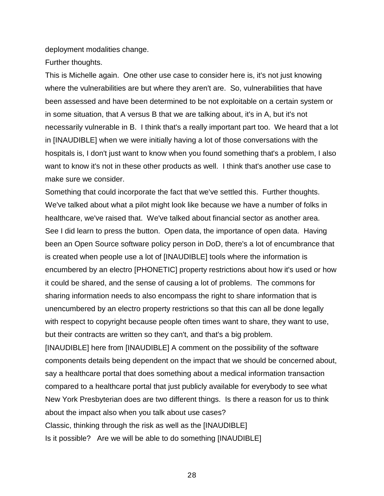deployment modalities change.

Further thoughts.

This is Michelle again. One other use case to consider here is, it's not just knowing where the vulnerabilities are but where they aren't are. So, vulnerabilities that have been assessed and have been determined to be not exploitable on a certain system or in some situation, that A versus B that we are talking about, it's in A, but it's not necessarily vulnerable in B. I think that's a really important part too. We heard that a lot in [INAUDIBLE] when we were initially having a lot of those conversations with the hospitals is, I don't just want to know when you found something that's a problem, I also want to know it's not in these other products as well. I think that's another use case to make sure we consider.

Something that could incorporate the fact that we've settled this. Further thoughts. We've talked about what a pilot might look like because we have a number of folks in healthcare, we've raised that. We've talked about financial sector as another area. See I did learn to press the button. Open data, the importance of open data. Having been an Open Source software policy person in DoD, there's a lot of encumbrance that is created when people use a lot of [INAUDIBLE] tools where the information is encumbered by an electro [PHONETIC] property restrictions about how it's used or how it could be shared, and the sense of causing a lot of problems. The commons for sharing information needs to also encompass the right to share information that is unencumbered by an electro property restrictions so that this can all be done legally with respect to copyright because people often times want to share, they want to use, but their contracts are written so they can't, and that's a big problem.

[INAUDIBLE] here from [INAUDIBLE] A comment on the possibility of the software components details being dependent on the impact that we should be concerned about, say a healthcare portal that does something about a medical information transaction compared to a healthcare portal that just publicly available for everybody to see what New York Presbyterian does are two different things. Is there a reason for us to think about the impact also when you talk about use cases? Classic, thinking through the risk as well as the [INAUDIBLE] Is it possible? Are we will be able to do something [INAUDIBLE]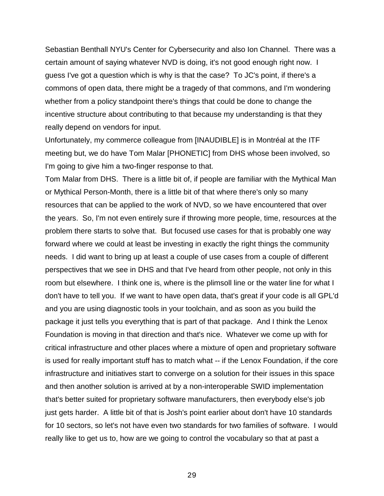Sebastian Benthall NYU's Center for Cybersecurity and also Ion Channel. There was a certain amount of saying whatever NVD is doing, it's not good enough right now. I guess I've got a question which is why is that the case? To JC's point, if there's a commons of open data, there might be a tragedy of that commons, and I'm wondering whether from a policy standpoint there's things that could be done to change the incentive structure about contributing to that because my understanding is that they really depend on vendors for input.

Unfortunately, my commerce colleague from [INAUDIBLE] is in Montréal at the ITF meeting but, we do have Tom Malar [PHONETIC] from DHS whose been involved, so I'm going to give him a two-finger response to that.

Tom Malar from DHS. There is a little bit of, if people are familiar with the Mythical Man or Mythical Person-Month, there is a little bit of that where there's only so many resources that can be applied to the work of NVD, so we have encountered that over the years. So, I'm not even entirely sure if throwing more people, time, resources at the problem there starts to solve that. But focused use cases for that is probably one way forward where we could at least be investing in exactly the right things the community needs. I did want to bring up at least a couple of use cases from a couple of different perspectives that we see in DHS and that I've heard from other people, not only in this room but elsewhere. I think one is, where is the plimsoll line or the water line for what I don't have to tell you. If we want to have open data, that's great if your code is all GPL'd and you are using diagnostic tools in your toolchain, and as soon as you build the package it just tells you everything that is part of that package. And I think the Lenox Foundation is moving in that direction and that's nice. Whatever we come up with for critical infrastructure and other places where a mixture of open and proprietary software is used for really important stuff has to match what -- if the Lenox Foundation, if the core infrastructure and initiatives start to converge on a solution for their issues in this space and then another solution is arrived at by a non-interoperable SWID implementation that's better suited for proprietary software manufacturers, then everybody else's job just gets harder. A little bit of that is Josh's point earlier about don't have 10 standards for 10 sectors, so let's not have even two standards for two families of software. I would really like to get us to, how are we going to control the vocabulary so that at past a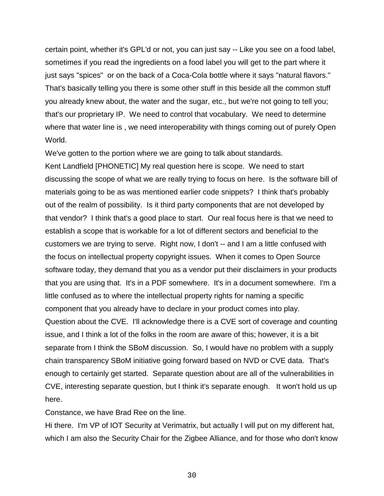certain point, whether it's GPL'd or not, you can just say -- Like you see on a food label, sometimes if you read the ingredients on a food label you will get to the part where it just says "spices" or on the back of a Coca-Cola bottle where it says "natural flavors." That's basically telling you there is some other stuff in this beside all the common stuff you already knew about, the water and the sugar, etc., but we're not going to tell you; that's our proprietary IP. We need to control that vocabulary. We need to determine where that water line is , we need interoperability with things coming out of purely Open World.

We've gotten to the portion where we are going to talk about standards. Kent Landfield [PHONETIC] My real question here is scope. We need to start discussing the scope of what we are really trying to focus on here. Is the software bill of materials going to be as was mentioned earlier code snippets? I think that's probably out of the realm of possibility. Is it third party components that are not developed by that vendor? I think that's a good place to start. Our real focus here is that we need to establish a scope that is workable for a lot of different sectors and beneficial to the customers we are trying to serve. Right now, I don't -- and I am a little confused with the focus on intellectual property copyright issues. When it comes to Open Source software today, they demand that you as a vendor put their disclaimers in your products that you are using that. It's in a PDF somewhere. It's in a document somewhere. I'm a little confused as to where the intellectual property rights for naming a specific component that you already have to declare in your product comes into play. Question about the CVE. I'll acknowledge there is a CVE sort of coverage and counting issue, and I think a lot of the folks in the room are aware of this; however, it is a bit separate from I think the SBoM discussion. So, I would have no problem with a supply chain transparency SBoM initiative going forward based on NVD or CVE data. That's enough to certainly get started. Separate question about are all of the vulnerabilities in CVE, interesting separate question, but I think it's separate enough. It won't hold us up here.

Constance, we have Brad Ree on the line.

Hi there. I'm VP of IOT Security at Verimatrix, but actually I will put on my different hat, which I am also the Security Chair for the Zigbee Alliance, and for those who don't know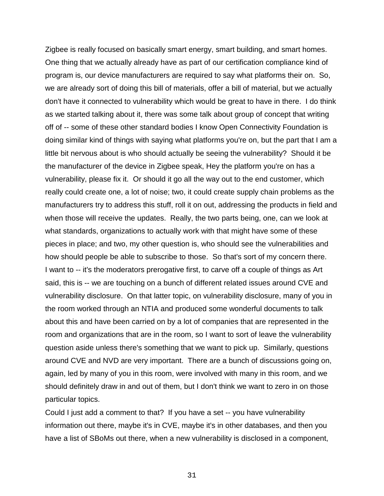Zigbee is really focused on basically smart energy, smart building, and smart homes. One thing that we actually already have as part of our certification compliance kind of program is, our device manufacturers are required to say what platforms their on. So, we are already sort of doing this bill of materials, offer a bill of material, but we actually don't have it connected to vulnerability which would be great to have in there. I do think as we started talking about it, there was some talk about group of concept that writing off of -- some of these other standard bodies I know Open Connectivity Foundation is doing similar kind of things with saying what platforms you're on, but the part that I am a little bit nervous about is who should actually be seeing the vulnerability? Should it be the manufacturer of the device in Zigbee speak, Hey the platform you're on has a vulnerability, please fix it. Or should it go all the way out to the end customer, which really could create one, a lot of noise; two, it could create supply chain problems as the manufacturers try to address this stuff, roll it on out, addressing the products in field and when those will receive the updates. Really, the two parts being, one, can we look at what standards, organizations to actually work with that might have some of these pieces in place; and two, my other question is, who should see the vulnerabilities and how should people be able to subscribe to those. So that's sort of my concern there. I want to -- it's the moderators prerogative first, to carve off a couple of things as Art said, this is -- we are touching on a bunch of different related issues around CVE and vulnerability disclosure. On that latter topic, on vulnerability disclosure, many of you in the room worked through an NTIA and produced some wonderful documents to talk about this and have been carried on by a lot of companies that are represented in the room and organizations that are in the room, so I want to sort of leave the vulnerability question aside unless there's something that we want to pick up. Similarly, questions around CVE and NVD are very important. There are a bunch of discussions going on, again, led by many of you in this room, were involved with many in this room, and we should definitely draw in and out of them, but I don't think we want to zero in on those particular topics.

Could I just add a comment to that? If you have a set -- you have vulnerability information out there, maybe it's in CVE, maybe it's in other databases, and then you have a list of SBoMs out there, when a new vulnerability is disclosed in a component,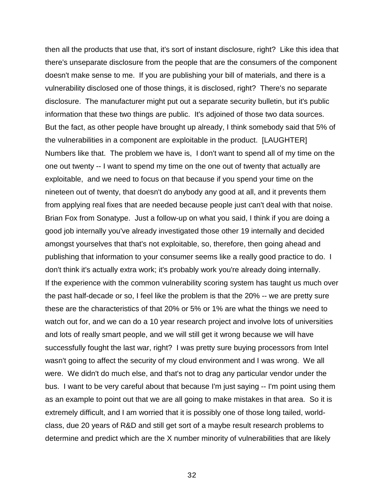then all the products that use that, it's sort of instant disclosure, right? Like this idea that there's unseparate disclosure from the people that are the consumers of the component doesn't make sense to me. If you are publishing your bill of materials, and there is a vulnerability disclosed one of those things, it is disclosed, right? There's no separate disclosure. The manufacturer might put out a separate security bulletin, but it's public information that these two things are public. It's adjoined of those two data sources. But the fact, as other people have brought up already, I think somebody said that 5% of the vulnerabilities in a component are exploitable in the product. [LAUGHTER] Numbers like that. The problem we have is, I don't want to spend all of my time on the one out twenty -- I want to spend my time on the one out of twenty that actually are exploitable, and we need to focus on that because if you spend your time on the nineteen out of twenty, that doesn't do anybody any good at all, and it prevents them from applying real fixes that are needed because people just can't deal with that noise. Brian Fox from Sonatype. Just a follow-up on what you said, I think if you are doing a good job internally you've already investigated those other 19 internally and decided amongst yourselves that that's not exploitable, so, therefore, then going ahead and publishing that information to your consumer seems like a really good practice to do. I don't think it's actually extra work; it's probably work you're already doing internally. If the experience with the common vulnerability scoring system has taught us much over the past half-decade or so, I feel like the problem is that the 20% -- we are pretty sure these are the characteristics of that 20% or 5% or 1% are what the things we need to watch out for, and we can do a 10 year research project and involve lots of universities and lots of really smart people, and we will still get it wrong because we will have successfully fought the last war, right? I was pretty sure buying processors from Intel wasn't going to affect the security of my cloud environment and I was wrong. We all were. We didn't do much else, and that's not to drag any particular vendor under the bus. I want to be very careful about that because I'm just saying -- I'm point using them as an example to point out that we are all going to make mistakes in that area. So it is extremely difficult, and I am worried that it is possibly one of those long tailed, worldclass, due 20 years of R&D and still get sort of a maybe result research problems to determine and predict which are the X number minority of vulnerabilities that are likely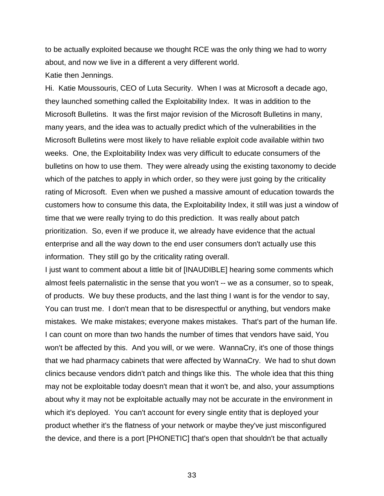to be actually exploited because we thought RCE was the only thing we had to worry about, and now we live in a different a very different world.

Katie then Jennings.

Hi. Katie Moussouris, CEO of Luta Security. When I was at Microsoft a decade ago, they launched something called the Exploitability Index. It was in addition to the Microsoft Bulletins. It was the first major revision of the Microsoft Bulletins in many, many years, and the idea was to actually predict which of the vulnerabilities in the Microsoft Bulletins were most likely to have reliable exploit code available within two weeks. One, the Exploitability Index was very difficult to educate consumers of the bulletins on how to use them. They were already using the existing taxonomy to decide which of the patches to apply in which order, so they were just going by the criticality rating of Microsoft. Even when we pushed a massive amount of education towards the customers how to consume this data, the Exploitability Index, it still was just a window of time that we were really trying to do this prediction. It was really about patch prioritization. So, even if we produce it, we already have evidence that the actual enterprise and all the way down to the end user consumers don't actually use this information. They still go by the criticality rating overall.

I just want to comment about a little bit of [INAUDIBLE] hearing some comments which almost feels paternalistic in the sense that you won't -- we as a consumer, so to speak, of products. We buy these products, and the last thing I want is for the vendor to say, You can trust me. I don't mean that to be disrespectful or anything, but vendors make mistakes. We make mistakes; everyone makes mistakes. That's part of the human life. I can count on more than two hands the number of times that vendors have said, You won't be affected by this. And you will, or we were. WannaCry, it's one of those things that we had pharmacy cabinets that were affected by WannaCry. We had to shut down clinics because vendors didn't patch and things like this. The whole idea that this thing may not be exploitable today doesn't mean that it won't be, and also, your assumptions about why it may not be exploitable actually may not be accurate in the environment in which it's deployed. You can't account for every single entity that is deployed your product whether it's the flatness of your network or maybe they've just misconfigured the device, and there is a port [PHONETIC] that's open that shouldn't be that actually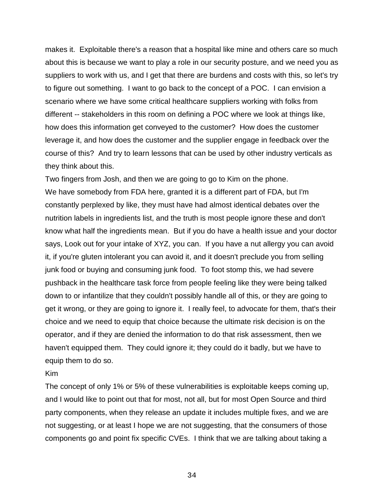makes it. Exploitable there's a reason that a hospital like mine and others care so much about this is because we want to play a role in our security posture, and we need you as suppliers to work with us, and I get that there are burdens and costs with this, so let's try to figure out something. I want to go back to the concept of a POC. I can envision a scenario where we have some critical healthcare suppliers working with folks from different -- stakeholders in this room on defining a POC where we look at things like, how does this information get conveyed to the customer? How does the customer leverage it, and how does the customer and the supplier engage in feedback over the course of this? And try to learn lessons that can be used by other industry verticals as they think about this.

Two fingers from Josh, and then we are going to go to Kim on the phone. We have somebody from FDA here, granted it is a different part of FDA, but I'm constantly perplexed by like, they must have had almost identical debates over the nutrition labels in ingredients list, and the truth is most people ignore these and don't know what half the ingredients mean. But if you do have a health issue and your doctor says, Look out for your intake of XYZ, you can. If you have a nut allergy you can avoid it, if you're gluten intolerant you can avoid it, and it doesn't preclude you from selling junk food or buying and consuming junk food. To foot stomp this, we had severe pushback in the healthcare task force from people feeling like they were being talked down to or infantilize that they couldn't possibly handle all of this, or they are going to get it wrong, or they are going to ignore it. I really feel, to advocate for them, that's their choice and we need to equip that choice because the ultimate risk decision is on the operator, and if they are denied the information to do that risk assessment, then we haven't equipped them. They could ignore it; they could do it badly, but we have to equip them to do so.

# Kim

The concept of only 1% or 5% of these vulnerabilities is exploitable keeps coming up, and I would like to point out that for most, not all, but for most Open Source and third party components, when they release an update it includes multiple fixes, and we are not suggesting, or at least I hope we are not suggesting, that the consumers of those components go and point fix specific CVEs. I think that we are talking about taking a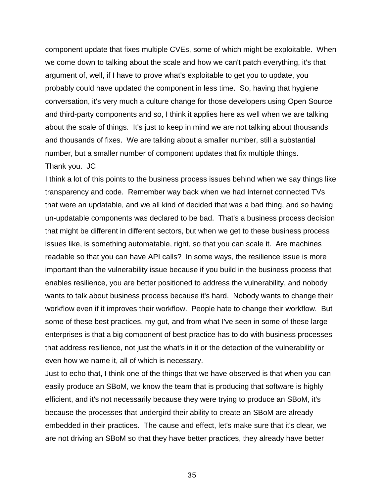component update that fixes multiple CVEs, some of which might be exploitable. When we come down to talking about the scale and how we can't patch everything, it's that argument of, well, if I have to prove what's exploitable to get you to update, you probably could have updated the component in less time. So, having that hygiene conversation, it's very much a culture change for those developers using Open Source and third-party components and so, I think it applies here as well when we are talking about the scale of things. It's just to keep in mind we are not talking about thousands and thousands of fixes. We are talking about a smaller number, still a substantial number, but a smaller number of component updates that fix multiple things. Thank you. JC

I think a lot of this points to the business process issues behind when we say things like transparency and code. Remember way back when we had Internet connected TVs that were an updatable, and we all kind of decided that was a bad thing, and so having un-updatable components was declared to be bad. That's a business process decision that might be different in different sectors, but when we get to these business process issues like, is something automatable, right, so that you can scale it. Are machines readable so that you can have API calls? In some ways, the resilience issue is more important than the vulnerability issue because if you build in the business process that enables resilience, you are better positioned to address the vulnerability, and nobody wants to talk about business process because it's hard. Nobody wants to change their workflow even if it improves their workflow. People hate to change their workflow. But some of these best practices, my gut, and from what I've seen in some of these large enterprises is that a big component of best practice has to do with business processes that address resilience, not just the what's in it or the detection of the vulnerability or even how we name it, all of which is necessary.

Just to echo that, I think one of the things that we have observed is that when you can easily produce an SBoM, we know the team that is producing that software is highly efficient, and it's not necessarily because they were trying to produce an SBoM, it's because the processes that undergird their ability to create an SBoM are already embedded in their practices. The cause and effect, let's make sure that it's clear, we are not driving an SBoM so that they have better practices, they already have better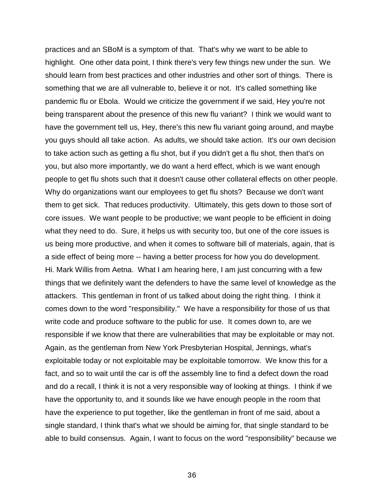practices and an SBoM is a symptom of that. That's why we want to be able to highlight. One other data point, I think there's very few things new under the sun. We should learn from best practices and other industries and other sort of things. There is something that we are all vulnerable to, believe it or not. It's called something like pandemic flu or Ebola. Would we criticize the government if we said, Hey you're not being transparent about the presence of this new flu variant? I think we would want to have the government tell us, Hey, there's this new flu variant going around, and maybe you guys should all take action. As adults, we should take action. It's our own decision to take action such as getting a flu shot, but if you didn't get a flu shot, then that's on you, but also more importantly, we do want a herd effect, which is we want enough people to get flu shots such that it doesn't cause other collateral effects on other people. Why do organizations want our employees to get flu shots? Because we don't want them to get sick. That reduces productivity. Ultimately, this gets down to those sort of core issues. We want people to be productive; we want people to be efficient in doing what they need to do. Sure, it helps us with security too, but one of the core issues is us being more productive, and when it comes to software bill of materials, again, that is a side effect of being more -- having a better process for how you do development. Hi. Mark Willis from Aetna. What I am hearing here, I am just concurring with a few things that we definitely want the defenders to have the same level of knowledge as the attackers. This gentleman in front of us talked about doing the right thing. I think it comes down to the word "responsibility." We have a responsibility for those of us that write code and produce software to the public for use. It comes down to, are we responsible if we know that there are vulnerabilities that may be exploitable or may not. Again, as the gentleman from New York Presbyterian Hospital, Jennings, what's exploitable today or not exploitable may be exploitable tomorrow. We know this for a fact, and so to wait until the car is off the assembly line to find a defect down the road and do a recall, I think it is not a very responsible way of looking at things. I think if we have the opportunity to, and it sounds like we have enough people in the room that have the experience to put together, like the gentleman in front of me said, about a single standard, I think that's what we should be aiming for, that single standard to be able to build consensus. Again, I want to focus on the word "responsibility" because we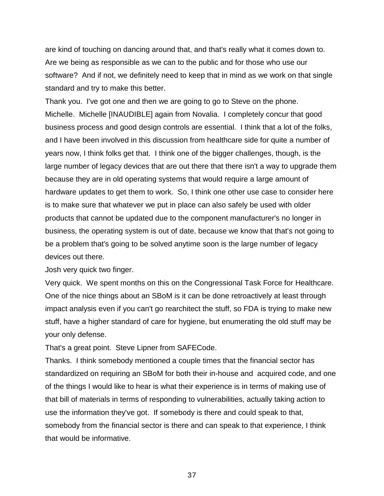are kind of touching on dancing around that, and that's really what it comes down to. Are we being as responsible as we can to the public and for those who use our software? And if not, we definitely need to keep that in mind as we work on that single standard and try to make this better.

Thank you. I've got one and then we are going to go to Steve on the phone. Michelle. Michelle [INAUDIBLE] again from Novalia. I completely concur that good business process and good design controls are essential. I think that a lot of the folks, and I have been involved in this discussion from healthcare side for quite a number of years now, I think folks get that. I think one of the bigger challenges, though, is the large number of legacy devices that are out there that there isn't a way to upgrade them because they are in old operating systems that would require a large amount of hardware updates to get them to work. So, I think one other use case to consider here is to make sure that whatever we put in place can also safely be used with older products that cannot be updated due to the component manufacturer's no longer in business, the operating system is out of date, because we know that that's not going to be a problem that's going to be solved anytime soon is the large number of legacy devices out there.

Josh very quick two finger.

Very quick. We spent months on this on the Congressional Task Force for Healthcare. One of the nice things about an SBoM is it can be done retroactively at least through impact analysis even if you can't go rearchitect the stuff, so FDA is trying to make new stuff, have a higher standard of care for hygiene, but enumerating the old stuff may be your only defense.

That's a great point. Steve Lipner from SAFECode.

Thanks. I think somebody mentioned a couple times that the financial sector has standardized on requiring an SBoM for both their in-house and acquired code, and one of the things I would like to hear is what their experience is in terms of making use of that bill of materials in terms of responding to vulnerabilities, actually taking action to use the information they've got. If somebody is there and could speak to that, somebody from the financial sector is there and can speak to that experience, I think that would be informative.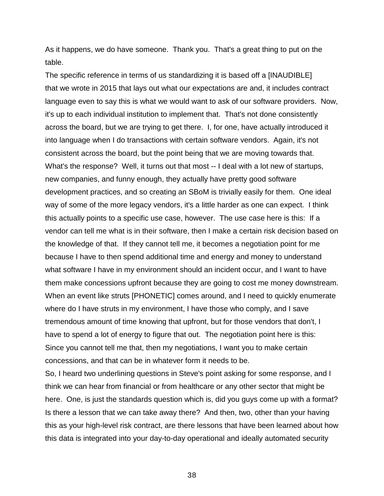As it happens, we do have someone. Thank you. That's a great thing to put on the table.

The specific reference in terms of us standardizing it is based off a [INAUDIBLE] that we wrote in 2015 that lays out what our expectations are and, it includes contract language even to say this is what we would want to ask of our software providers. Now, it's up to each individual institution to implement that. That's not done consistently across the board, but we are trying to get there. I, for one, have actually introduced it into language when I do transactions with certain software vendors. Again, it's not consistent across the board, but the point being that we are moving towards that. What's the response? Well, it turns out that most -- I deal with a lot new of startups, new companies, and funny enough, they actually have pretty good software development practices, and so creating an SBoM is trivially easily for them. One ideal way of some of the more legacy vendors, it's a little harder as one can expect. I think this actually points to a specific use case, however. The use case here is this: If a vendor can tell me what is in their software, then I make a certain risk decision based on the knowledge of that. If they cannot tell me, it becomes a negotiation point for me because I have to then spend additional time and energy and money to understand what software I have in my environment should an incident occur, and I want to have them make concessions upfront because they are going to cost me money downstream. When an event like struts [PHONETIC] comes around, and I need to quickly enumerate where do I have struts in my environment, I have those who comply, and I save tremendous amount of time knowing that upfront, but for those vendors that don't, I have to spend a lot of energy to figure that out. The negotiation point here is this: Since you cannot tell me that, then my negotiations, I want you to make certain concessions, and that can be in whatever form it needs to be.

So, I heard two underlining questions in Steve's point asking for some response, and I think we can hear from financial or from healthcare or any other sector that might be here. One, is just the standards question which is, did you guys come up with a format? Is there a lesson that we can take away there? And then, two, other than your having this as your high-level risk contract, are there lessons that have been learned about how this data is integrated into your day-to-day operational and ideally automated security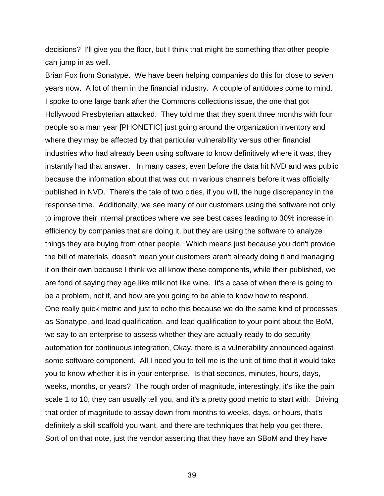decisions? I'll give you the floor, but I think that might be something that other people can jump in as well.

Brian Fox from Sonatype. We have been helping companies do this for close to seven years now. A lot of them in the financial industry. A couple of antidotes come to mind. I spoke to one large bank after the Commons collections issue, the one that got Hollywood Presbyterian attacked. They told me that they spent three months with four people so a man year [PHONETIC] just going around the organization inventory and where they may be affected by that particular vulnerability versus other financial industries who had already been using software to know definitively where it was, they instantly had that answer. In many cases, even before the data hit NVD and was public because the information about that was out in various channels before it was officially published in NVD. There's the tale of two cities, if you will, the huge discrepancy in the response time. Additionally, we see many of our customers using the software not only to improve their internal practices where we see best cases leading to 30% increase in efficiency by companies that are doing it, but they are using the software to analyze things they are buying from other people. Which means just because you don't provide the bill of materials, doesn't mean your customers aren't already doing it and managing it on their own because I think we all know these components, while their published, we are fond of saying they age like milk not like wine. It's a case of when there is going to be a problem, not if, and how are you going to be able to know how to respond. One really quick metric and just to echo this because we do the same kind of processes as Sonatype, and lead qualification, and lead qualification to your point about the BoM, we say to an enterprise to assess whether they are actually ready to do security automation for continuous integration, Okay, there is a vulnerability announced against some software component. All I need you to tell me is the unit of time that it would take you to know whether it is in your enterprise. Is that seconds, minutes, hours, days, weeks, months, or years? The rough order of magnitude, interestingly, it's like the pain scale 1 to 10, they can usually tell you, and it's a pretty good metric to start with. Driving that order of magnitude to assay down from months to weeks, days, or hours, that's definitely a skill scaffold you want, and there are techniques that help you get there. Sort of on that note, just the vendor asserting that they have an SBoM and they have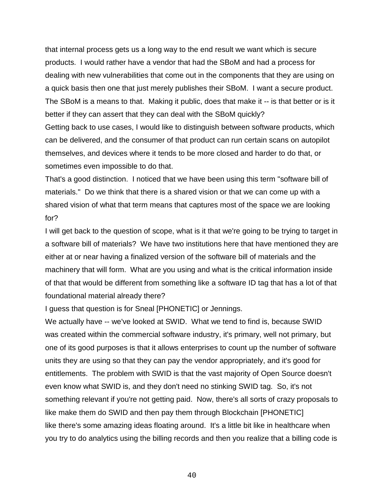that internal process gets us a long way to the end result we want which is secure products. I would rather have a vendor that had the SBoM and had a process for dealing with new vulnerabilities that come out in the components that they are using on a quick basis then one that just merely publishes their SBoM. I want a secure product. The SBoM is a means to that. Making it public, does that make it -- is that better or is it better if they can assert that they can deal with the SBoM quickly?

Getting back to use cases, I would like to distinguish between software products, which can be delivered, and the consumer of that product can run certain scans on autopilot themselves, and devices where it tends to be more closed and harder to do that, or sometimes even impossible to do that.

That's a good distinction. I noticed that we have been using this term "software bill of materials." Do we think that there is a shared vision or that we can come up with a shared vision of what that term means that captures most of the space we are looking for?

I will get back to the question of scope, what is it that we're going to be trying to target in a software bill of materials? We have two institutions here that have mentioned they are either at or near having a finalized version of the software bill of materials and the machinery that will form. What are you using and what is the critical information inside of that that would be different from something like a software ID tag that has a lot of that foundational material already there?

I guess that question is for Sneal [PHONETIC] or Jennings.

We actually have -- we've looked at SWID. What we tend to find is, because SWID was created within the commercial software industry, it's primary, well not primary, but one of its good purposes is that it allows enterprises to count up the number of software units they are using so that they can pay the vendor appropriately, and it's good for entitlements. The problem with SWID is that the vast majority of Open Source doesn't even know what SWID is, and they don't need no stinking SWID tag. So, it's not something relevant if you're not getting paid. Now, there's all sorts of crazy proposals to like make them do SWID and then pay them through Blockchain [PHONETIC] like there's some amazing ideas floating around. It's a little bit like in healthcare when you try to do analytics using the billing records and then you realize that a billing code is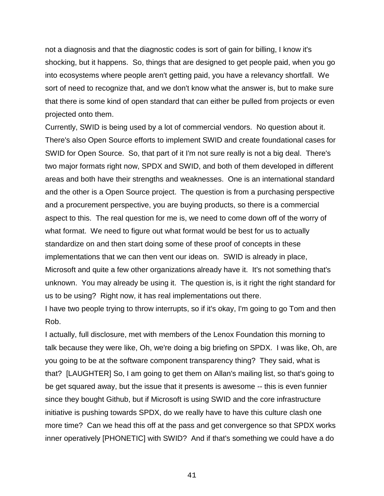not a diagnosis and that the diagnostic codes is sort of gain for billing, I know it's shocking, but it happens. So, things that are designed to get people paid, when you go into ecosystems where people aren't getting paid, you have a relevancy shortfall. We sort of need to recognize that, and we don't know what the answer is, but to make sure that there is some kind of open standard that can either be pulled from projects or even projected onto them.

Currently, SWID is being used by a lot of commercial vendors. No question about it. There's also Open Source efforts to implement SWID and create foundational cases for SWID for Open Source. So, that part of it I'm not sure really is not a big deal. There's two major formats right now, SPDX and SWID, and both of them developed in different areas and both have their strengths and weaknesses. One is an international standard and the other is a Open Source project. The question is from a purchasing perspective and a procurement perspective, you are buying products, so there is a commercial aspect to this. The real question for me is, we need to come down off of the worry of what format. We need to figure out what format would be best for us to actually standardize on and then start doing some of these proof of concepts in these implementations that we can then vent our ideas on. SWID is already in place, Microsoft and quite a few other organizations already have it. It's not something that's unknown. You may already be using it. The question is, is it right the right standard for us to be using? Right now, it has real implementations out there.

I have two people trying to throw interrupts, so if it's okay, I'm going to go Tom and then Rob.

I actually, full disclosure, met with members of the Lenox Foundation this morning to talk because they were like, Oh, we're doing a big briefing on SPDX. I was like, Oh, are you going to be at the software component transparency thing? They said, what is that? [LAUGHTER] So, I am going to get them on Allan's mailing list, so that's going to be get squared away, but the issue that it presents is awesome -- this is even funnier since they bought Github, but if Microsoft is using SWID and the core infrastructure initiative is pushing towards SPDX, do we really have to have this culture clash one more time? Can we head this off at the pass and get convergence so that SPDX works inner operatively [PHONETIC] with SWID? And if that's something we could have a do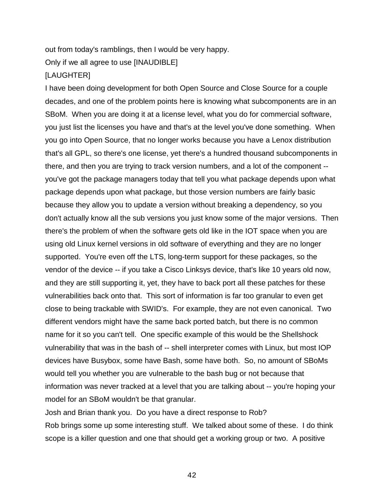out from today's ramblings, then I would be very happy.

Only if we all agree to use [INAUDIBLE]

# [LAUGHTER]

I have been doing development for both Open Source and Close Source for a couple decades, and one of the problem points here is knowing what subcomponents are in an SBoM. When you are doing it at a license level, what you do for commercial software, you just list the licenses you have and that's at the level you've done something. When you go into Open Source, that no longer works because you have a Lenox distribution that's all GPL, so there's one license, yet there's a hundred thousand subcomponents in there, and then you are trying to track version numbers, and a lot of the component - you've got the package managers today that tell you what package depends upon what package depends upon what package, but those version numbers are fairly basic because they allow you to update a version without breaking a dependency, so you don't actually know all the sub versions you just know some of the major versions. Then there's the problem of when the software gets old like in the IOT space when you are using old Linux kernel versions in old software of everything and they are no longer supported. You're even off the LTS, long-term support for these packages, so the vendor of the device -- if you take a Cisco Linksys device, that's like 10 years old now, and they are still supporting it, yet, they have to back port all these patches for these vulnerabilities back onto that. This sort of information is far too granular to even get close to being trackable with SWID's. For example, they are not even canonical. Two different vendors might have the same back ported batch, but there is no common name for it so you can't tell. One specific example of this would be the Shellshock vulnerability that was in the bash of -- shell interpreter comes with Linux, but most IOP devices have Busybox, some have Bash, some have both. So, no amount of SBoMs would tell you whether you are vulnerable to the bash bug or not because that information was never tracked at a level that you are talking about -- you're hoping your model for an SBoM wouldn't be that granular.

Josh and Brian thank you. Do you have a direct response to Rob? Rob brings some up some interesting stuff. We talked about some of these. I do think scope is a killer question and one that should get a working group or two. A positive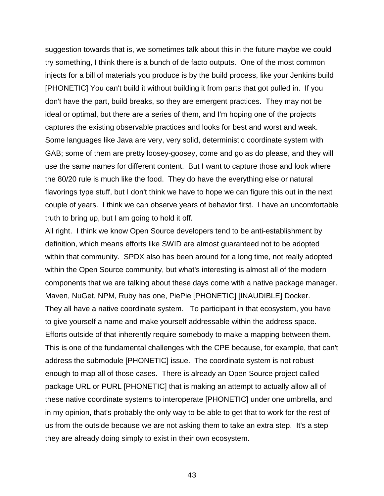suggestion towards that is, we sometimes talk about this in the future maybe we could try something, I think there is a bunch of de facto outputs. One of the most common injects for a bill of materials you produce is by the build process, like your Jenkins build [PHONETIC] You can't build it without building it from parts that got pulled in. If you don't have the part, build breaks, so they are emergent practices. They may not be ideal or optimal, but there are a series of them, and I'm hoping one of the projects captures the existing observable practices and looks for best and worst and weak. Some languages like Java are very, very solid, deterministic coordinate system with GAB; some of them are pretty loosey-goosey, come and go as do please, and they will use the same names for different content. But I want to capture those and look where the 80/20 rule is much like the food. They do have the everything else or natural flavorings type stuff, but I don't think we have to hope we can figure this out in the next couple of years. I think we can observe years of behavior first. I have an uncomfortable truth to bring up, but I am going to hold it off.

All right. I think we know Open Source developers tend to be anti-establishment by definition, which means efforts like SWID are almost guaranteed not to be adopted within that community. SPDX also has been around for a long time, not really adopted within the Open Source community, but what's interesting is almost all of the modern components that we are talking about these days come with a native package manager. Maven, NuGet, NPM, Ruby has one, PiePie [PHONETIC] [INAUDIBLE] Docker. They all have a native coordinate system. To participant in that ecosystem, you have to give yourself a name and make yourself addressable within the address space. Efforts outside of that inherently require somebody to make a mapping between them. This is one of the fundamental challenges with the CPE because, for example, that can't address the submodule [PHONETIC] issue. The coordinate system is not robust enough to map all of those cases. There is already an Open Source project called package URL or PURL [PHONETIC] that is making an attempt to actually allow all of these native coordinate systems to interoperate [PHONETIC] under one umbrella, and in my opinion, that's probably the only way to be able to get that to work for the rest of us from the outside because we are not asking them to take an extra step. It's a step they are already doing simply to exist in their own ecosystem.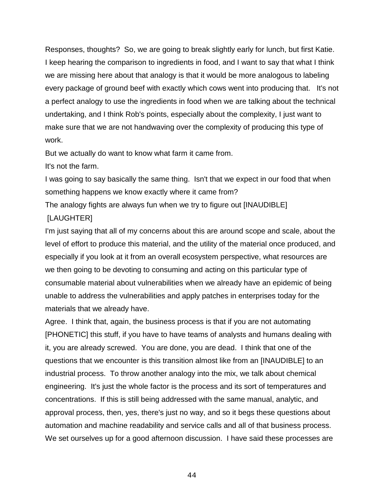Responses, thoughts? So, we are going to break slightly early for lunch, but first Katie. I keep hearing the comparison to ingredients in food, and I want to say that what I think we are missing here about that analogy is that it would be more analogous to labeling every package of ground beef with exactly which cows went into producing that. It's not a perfect analogy to use the ingredients in food when we are talking about the technical undertaking, and I think Rob's points, especially about the complexity, I just want to make sure that we are not handwaving over the complexity of producing this type of work.

But we actually do want to know what farm it came from.

It's not the farm.

I was going to say basically the same thing. Isn't that we expect in our food that when something happens we know exactly where it came from?

The analogy fights are always fun when we try to figure out [INAUDIBLE]

# [LAUGHTER]

I'm just saying that all of my concerns about this are around scope and scale, about the level of effort to produce this material, and the utility of the material once produced, and especially if you look at it from an overall ecosystem perspective, what resources are we then going to be devoting to consuming and acting on this particular type of consumable material about vulnerabilities when we already have an epidemic of being unable to address the vulnerabilities and apply patches in enterprises today for the materials that we already have.

Agree. I think that, again, the business process is that if you are not automating [PHONETIC] this stuff, if you have to have teams of analysts and humans dealing with it, you are already screwed. You are done, you are dead. I think that one of the questions that we encounter is this transition almost like from an [INAUDIBLE] to an industrial process. To throw another analogy into the mix, we talk about chemical engineering. It's just the whole factor is the process and its sort of temperatures and concentrations. If this is still being addressed with the same manual, analytic, and approval process, then, yes, there's just no way, and so it begs these questions about automation and machine readability and service calls and all of that business process. We set ourselves up for a good afternoon discussion. I have said these processes are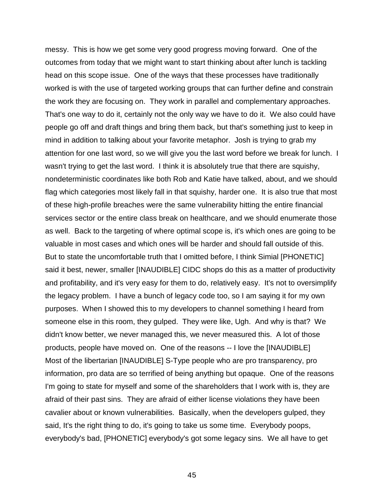messy. This is how we get some very good progress moving forward. One of the outcomes from today that we might want to start thinking about after lunch is tackling head on this scope issue. One of the ways that these processes have traditionally worked is with the use of targeted working groups that can further define and constrain the work they are focusing on. They work in parallel and complementary approaches. That's one way to do it, certainly not the only way we have to do it. We also could have people go off and draft things and bring them back, but that's something just to keep in mind in addition to talking about your favorite metaphor. Josh is trying to grab my attention for one last word, so we will give you the last word before we break for lunch. I wasn't trying to get the last word. I think it is absolutely true that there are squishy, nondeterministic coordinates like both Rob and Katie have talked, about, and we should flag which categories most likely fall in that squishy, harder one. It is also true that most of these high-profile breaches were the same vulnerability hitting the entire financial services sector or the entire class break on healthcare, and we should enumerate those as well. Back to the targeting of where optimal scope is, it's which ones are going to be valuable in most cases and which ones will be harder and should fall outside of this. But to state the uncomfortable truth that I omitted before, I think Simial [PHONETIC] said it best, newer, smaller [INAUDIBLE] CIDC shops do this as a matter of productivity and profitability, and it's very easy for them to do, relatively easy. It's not to oversimplify the legacy problem. I have a bunch of legacy code too, so I am saying it for my own purposes. When I showed this to my developers to channel something I heard from someone else in this room, they gulped. They were like, Ugh. And why is that? We didn't know better, we never managed this, we never measured this. A lot of those products, people have moved on. One of the reasons -- I love the [INAUDIBLE] Most of the libertarian [INAUDIBLE] S-Type people who are pro transparency, pro information, pro data are so terrified of being anything but opaque. One of the reasons I'm going to state for myself and some of the shareholders that I work with is, they are afraid of their past sins. They are afraid of either license violations they have been cavalier about or known vulnerabilities. Basically, when the developers gulped, they said, It's the right thing to do, it's going to take us some time. Everybody poops, everybody's bad, [PHONETIC] everybody's got some legacy sins. We all have to get